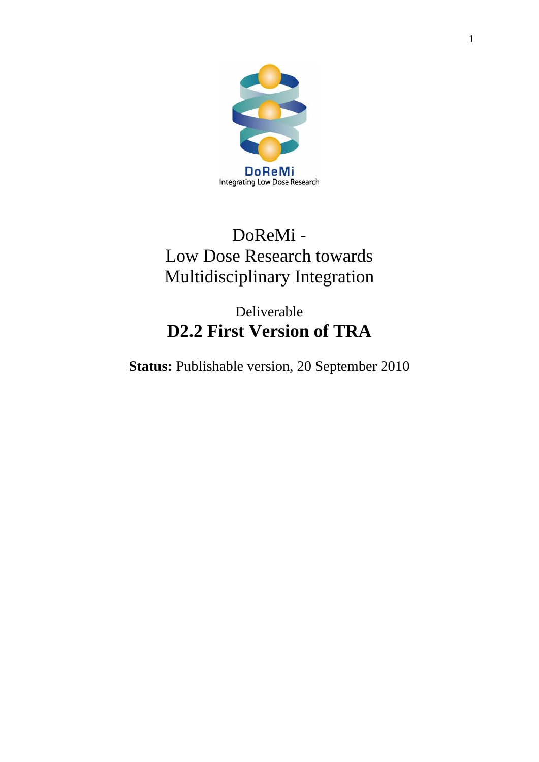

# DoReMi - Low Dose Research towards Multidisciplinary Integration

# Deliverable **D2.2 First Version of TRA**

**Status:** Publishable version, 20 September 2010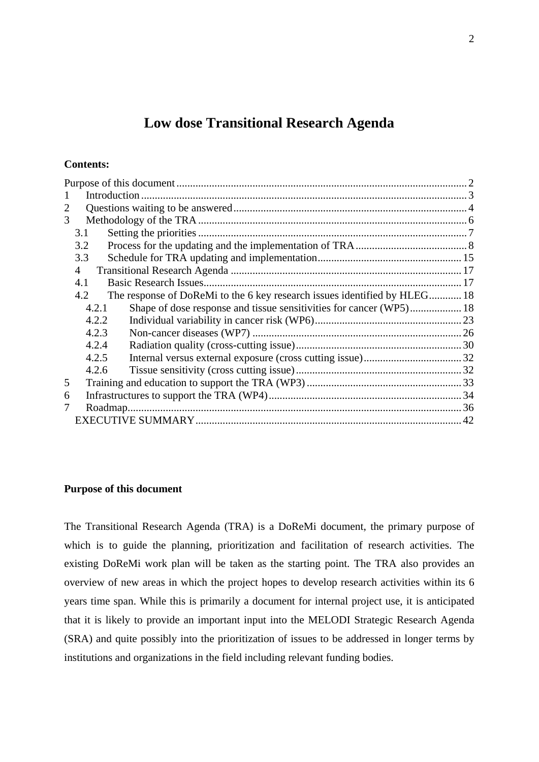# **Low dose Transitional Research Agenda**

# <span id="page-1-0"></span>**Contents:**

| 3 |       |                                                                          |  |
|---|-------|--------------------------------------------------------------------------|--|
|   | 3.1   |                                                                          |  |
|   | 3.2   |                                                                          |  |
|   | 3.3   |                                                                          |  |
|   | 4     |                                                                          |  |
|   | 4.1   |                                                                          |  |
|   | 4.2   | The response of DoReMi to the 6 key research issues identified by HLEG18 |  |
|   | 4.2.1 |                                                                          |  |
|   | 4.2.2 |                                                                          |  |
|   | 4.2.3 |                                                                          |  |
|   | 4.2.4 |                                                                          |  |
|   | 4.2.5 |                                                                          |  |
|   | 4.2.6 |                                                                          |  |
| 5 |       |                                                                          |  |
| 6 |       |                                                                          |  |
|   |       | Roadmap                                                                  |  |
|   |       |                                                                          |  |

#### **Purpose of this document**

The Transitional Research Agenda (TRA) is a DoReMi document, the primary purpose of which is to guide the planning, prioritization and facilitation of research activities. The existing DoReMi work plan will be taken as the starting point. The TRA also provides an overview of new areas in which the project hopes to develop research activities within its 6 years time span. While this is primarily a document for internal project use, it is anticipated that it is likely to provide an important input into the MELODI Strategic Research Agenda (SRA) and quite possibly into the prioritization of issues to be addressed in longer terms by institutions and organizations in the field including relevant funding bodies.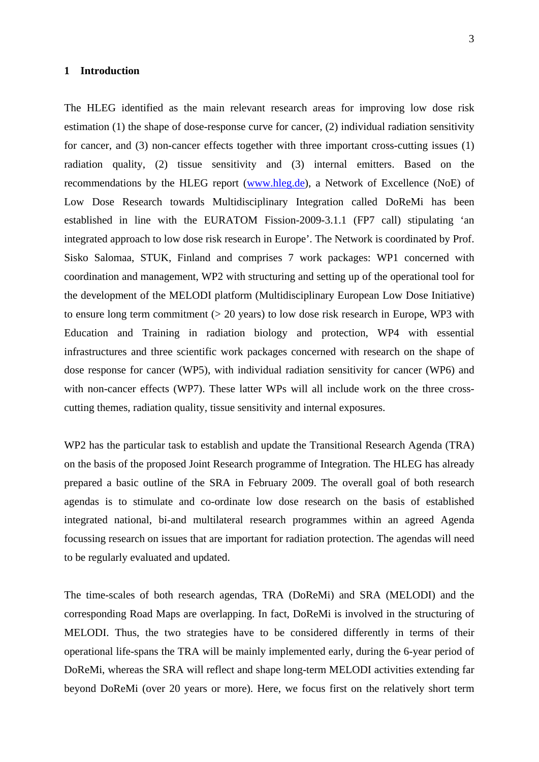#### <span id="page-2-0"></span>**1 Introduction**

The HLEG identified as the main relevant research areas for improving low dose risk estimation (1) the shape of dose-response curve for cancer, (2) individual radiation sensitivity for cancer, and (3) non-cancer effects together with three important cross-cutting issues (1) radiation quality, (2) tissue sensitivity and (3) internal emitters. Based on the recommendations by the HLEG report ([www.hleg.de\)](http://www.hleg.de/), a Network of Excellence (NoE) of Low Dose Research towards Multidisciplinary Integration called DoReMi has been established in line with the EURATOM Fission-2009-3.1.1 (FP7 call) stipulating 'an integrated approach to low dose risk research in Europe'. The Network is coordinated by Prof. Sisko Salomaa, STUK, Finland and comprises 7 work packages: WP1 concerned with coordination and management, WP2 with structuring and setting up of the operational tool for the development of the MELODI platform (Multidisciplinary European Low Dose Initiative) to ensure long term commitment (> 20 years) to low dose risk research in Europe, WP3 with Education and Training in radiation biology and protection, WP4 with essential infrastructures and three scientific work packages concerned with research on the shape of dose response for cancer (WP5), with individual radiation sensitivity for cancer (WP6) and with non-cancer effects (WP7). These latter WPs will all include work on the three crosscutting themes, radiation quality, tissue sensitivity and internal exposures.

WP2 has the particular task to establish and update the Transitional Research Agenda (TRA) on the basis of the proposed Joint Research programme of Integration. The HLEG has already prepared a basic outline of the SRA in February 2009. The overall goal of both research agendas is to stimulate and co-ordinate low dose research on the basis of established integrated national, bi-and multilateral research programmes within an agreed Agenda focussing research on issues that are important for radiation protection. The agendas will need to be regularly evaluated and updated.

The time-scales of both research agendas, TRA (DoReMi) and SRA (MELODI) and the corresponding Road Maps are overlapping. In fact, DoReMi is involved in the structuring of MELODI. Thus, the two strategies have to be considered differently in terms of their operational life-spans the TRA will be mainly implemented early, during the 6-year period of DoReMi, whereas the SRA will reflect and shape long-term MELODI activities extending far beyond DoReMi (over 20 years or more). Here, we focus first on the relatively short term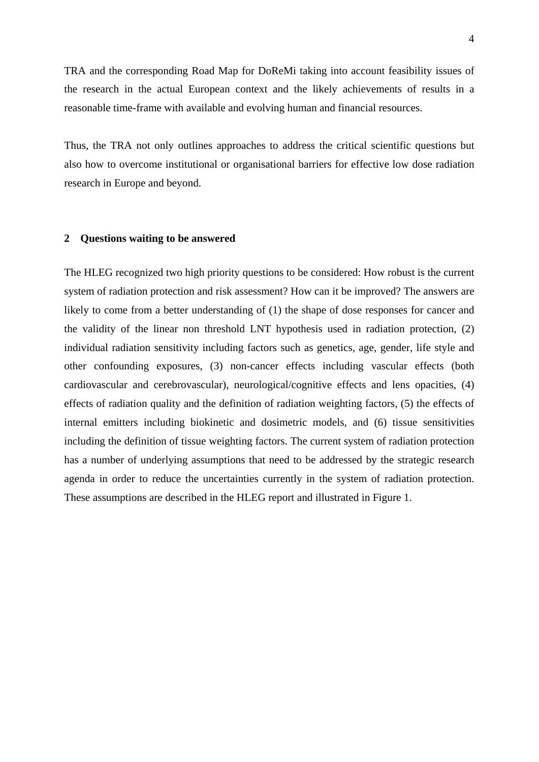<span id="page-3-0"></span>TRA and the corresponding Road Map for DoReMi taking into account feasibility issues of the research in the actual European context and the likely achievements of results in a reasonable time-frame with available and evolving human and financial resources.

Thus, the TRA not only outlines approaches to address the critical scientific questions but also how to overcome institutional or organisational barriers for effective low dose radiation research in Europe and beyond.

#### **2 Questions waiting to be answered**

The HLEG recognized two high priority questions to be considered: How robust is the current system of radiation protection and risk assessment? How can it be improved? The answers are likely to come from a better understanding of (1) the shape of dose responses for cancer and the validity of the linear non threshold LNT hypothesis used in radiation protection, (2) individual radiation sensitivity including factors such as genetics, age, gender, life style and other confounding exposures, (3) non-cancer effects including vascular effects (both cardiovascular and cerebrovascular), neurological/cognitive effects and lens opacities, (4) effects of radiation quality and the definition of radiation weighting factors, (5) the effects of internal emitters including biokinetic and dosimetric models, and (6) tissue sensitivities including the definition of tissue weighting factors. The current system of radiation protection has a number of underlying assumptions that need to be addressed by the strategic research agenda in order to reduce the uncertainties currently in the system of radiation protection. These assumptions are described in the HLEG report and illustrated in Figure 1.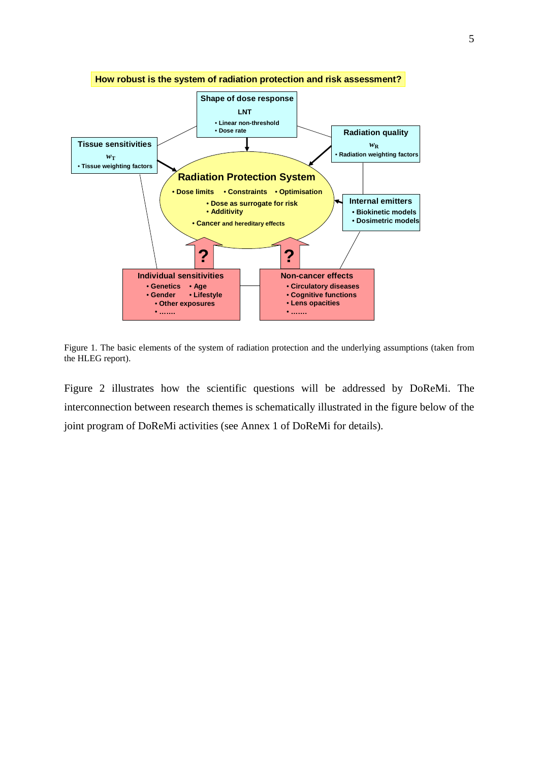

Figure 1. The basic elements of the system of radiation protection and the underlying assumptions (taken from the HLEG report).

Figure 2 illustrates how the scientific questions will be addressed by DoReMi. The interconnection between research themes is schematically illustrated in the figure below of the joint program of DoReMi activities (see Annex 1 of DoReMi for details).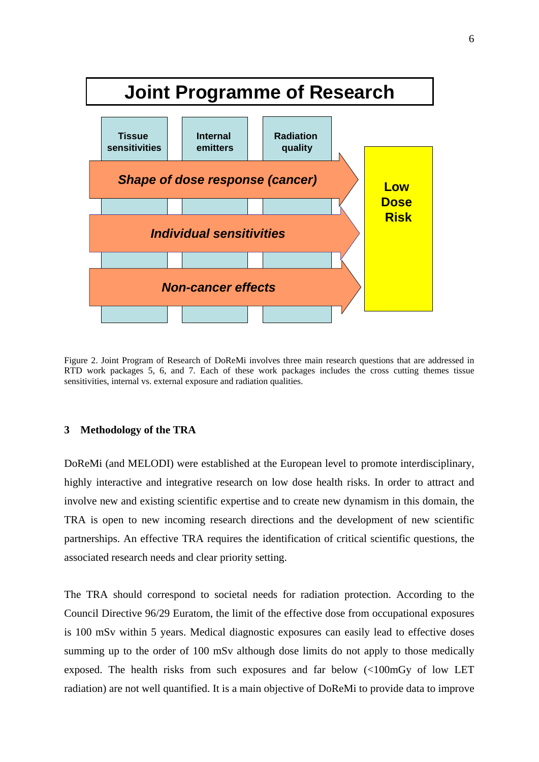<span id="page-5-0"></span>

Figure 2. Joint Program of Research of DoReMi involves three main research questions that are addressed in RTD work packages 5, 6, and 7. Each of these work packages includes the cross cutting themes tissue sensitivities, internal vs. external exposure and radiation qualities.

#### **3 Methodology of the TRA**

DoReMi (and MELODI) were established at the European level to promote interdisciplinary, highly interactive and integrative research on low dose health risks. In order to attract and involve new and existing scientific expertise and to create new dynamism in this domain, the TRA is open to new incoming research directions and the development of new scientific partnerships. An effective TRA requires the identification of critical scientific questions, the associated research needs and clear priority setting.

The TRA should correspond to societal needs for radiation protection. According to the Council Directive 96/29 Euratom, the limit of the effective dose from occupational exposures is 100 mSv within 5 years. Medical diagnostic exposures can easily lead to effective doses summing up to the order of 100 mSv although dose limits do not apply to those medically exposed. The health risks from such exposures and far below (<100mGy of low LET radiation) are not well quantified. It is a main objective of DoReMi to provide data to improve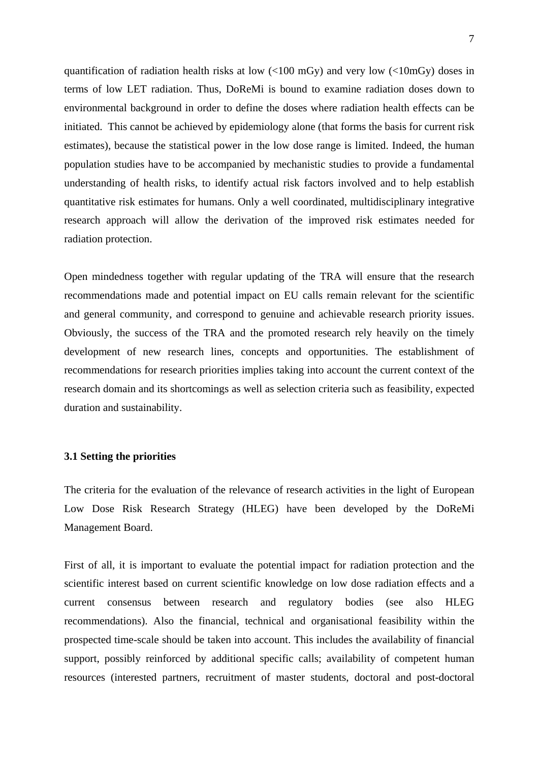<span id="page-6-0"></span>quantification of radiation health risks at low  $\langle$  ( $\langle$ 100 mGy) and very low  $\langle$  ( $\langle$ 10mGy) doses in terms of low LET radiation. Thus, DoReMi is bound to examine radiation doses down to environmental background in order to define the doses where radiation health effects can be initiated. This cannot be achieved by epidemiology alone (that forms the basis for current risk estimates), because the statistical power in the low dose range is limited. Indeed, the human population studies have to be accompanied by mechanistic studies to provide a fundamental understanding of health risks, to identify actual risk factors involved and to help establish quantitative risk estimates for humans. Only a well coordinated, multidisciplinary integrative research approach will allow the derivation of the improved risk estimates needed for radiation protection.

Open mindedness together with regular updating of the TRA will ensure that the research recommendations made and potential impact on EU calls remain relevant for the scientific and general community, and correspond to genuine and achievable research priority issues. Obviously, the success of the TRA and the promoted research rely heavily on the timely development of new research lines, concepts and opportunities. The establishment of recommendations for research priorities implies taking into account the current context of the research domain and its shortcomings as well as selection criteria such as feasibility, expected duration and sustainability.

#### **3.1 Setting the priorities**

The criteria for the evaluation of the relevance of research activities in the light of European Low Dose Risk Research Strategy (HLEG) have been developed by the DoReMi Management Board.

First of all, it is important to evaluate the potential impact for radiation protection and the scientific interest based on current scientific knowledge on low dose radiation effects and a current consensus between research and regulatory bodies (see also HLEG recommendations). Also the financial, technical and organisational feasibility within the prospected time-scale should be taken into account. This includes the availability of financial support, possibly reinforced by additional specific calls; availability of competent human resources (interested partners, recruitment of master students, doctoral and post-doctoral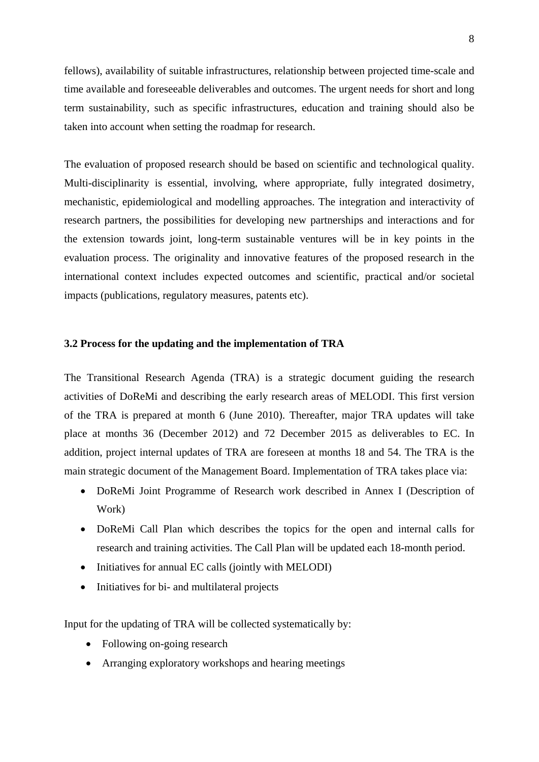<span id="page-7-0"></span>fellows), availability of suitable infrastructures, relationship between projected time-scale and time available and foreseeable deliverables and outcomes. The urgent needs for short and long term sustainability, such as specific infrastructures, education and training should also be taken into account when setting the roadmap for research.

The evaluation of proposed research should be based on scientific and technological quality. Multi-disciplinarity is essential, involving, where appropriate, fully integrated dosimetry, mechanistic, epidemiological and modelling approaches. The integration and interactivity of research partners, the possibilities for developing new partnerships and interactions and for the extension towards joint, long-term sustainable ventures will be in key points in the evaluation process. The originality and innovative features of the proposed research in the international context includes expected outcomes and scientific, practical and/or societal impacts (publications, regulatory measures, patents etc).

#### **3.2 Process for the updating and the implementation of TRA**

The Transitional Research Agenda (TRA) is a strategic document guiding the research activities of DoReMi and describing the early research areas of MELODI. This first version of the TRA is prepared at month 6 (June 2010). Thereafter, major TRA updates will take place at months 36 (December 2012) and 72 December 2015 as deliverables to EC. In addition, project internal updates of TRA are foreseen at months 18 and 54. The TRA is the main strategic document of the Management Board. Implementation of TRA takes place via:

- DoReMi Joint Programme of Research work described in Annex I (Description of Work)
- DoReMi Call Plan which describes the topics for the open and internal calls for research and training activities. The Call Plan will be updated each 18-month period.
- Initiatives for annual EC calls (jointly with MELODI)
- Initiatives for bi- and multilateral projects

Input for the updating of TRA will be collected systematically by:

- Following on-going research
- Arranging exploratory workshops and hearing meetings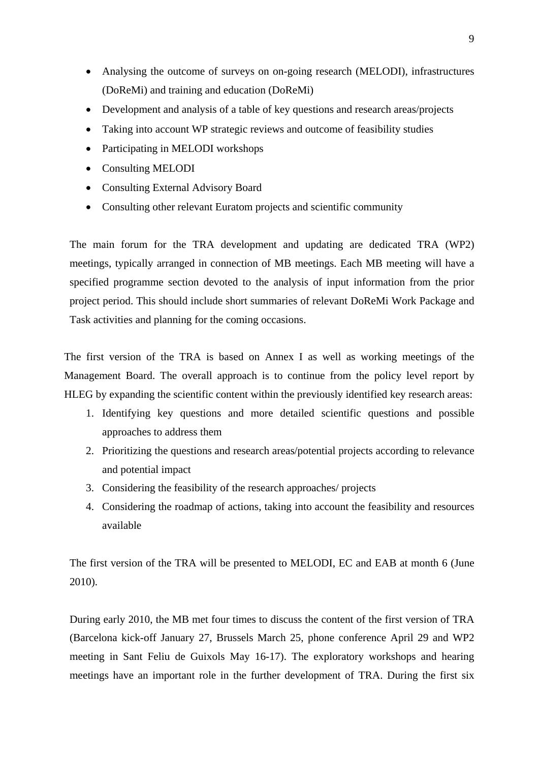- Analysing the outcome of surveys on on-going research (MELODI), infrastructures (DoReMi) and training and education (DoReMi)
- Development and analysis of a table of key questions and research areas/projects
- Taking into account WP strategic reviews and outcome of feasibility studies
- Participating in MELODI workshops
- Consulting MELODI
- Consulting External Advisory Board
- Consulting other relevant Euratom projects and scientific community

The main forum for the TRA development and updating are dedicated TRA (WP2) meetings, typically arranged in connection of MB meetings. Each MB meeting will have a specified programme section devoted to the analysis of input information from the prior project period. This should include short summaries of relevant DoReMi Work Package and Task activities and planning for the coming occasions.

The first version of the TRA is based on Annex I as well as working meetings of the Management Board. The overall approach is to continue from the policy level report by HLEG by expanding the scientific content within the previously identified key research areas:

- 1. Identifying key questions and more detailed scientific questions and possible approaches to address them
- 2. Prioritizing the questions and research areas/potential projects according to relevance and potential impact
- 3. Considering the feasibility of the research approaches/ projects
- 4. Considering the roadmap of actions, taking into account the feasibility and resources available

The first version of the TRA will be presented to MELODI, EC and EAB at month 6 (June 2010).

During early 2010, the MB met four times to discuss the content of the first version of TRA (Barcelona kick-off January 27, Brussels March 25, phone conference April 29 and WP2 meeting in Sant Feliu de Guixols May 16-17). The exploratory workshops and hearing meetings have an important role in the further development of TRA. During the first six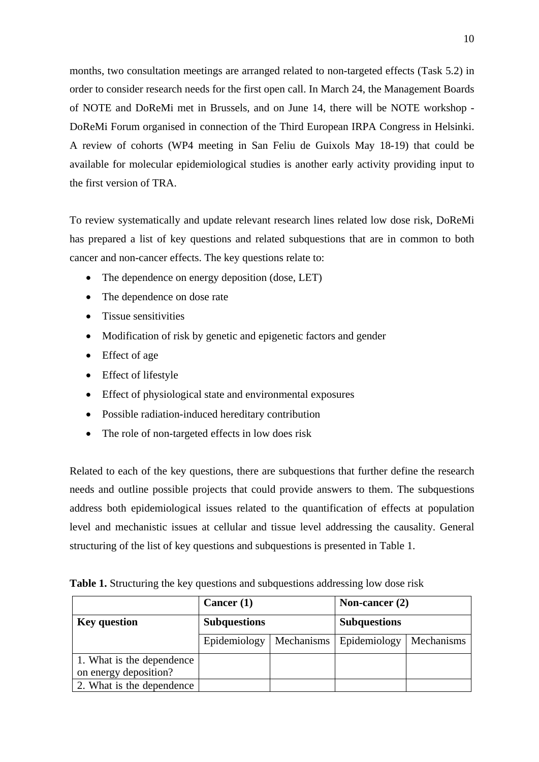months, two consultation meetings are arranged related to non-targeted effects (Task 5.2) in order to consider research needs for the first open call. In March 24, the Management Boards of NOTE and DoReMi met in Brussels, and on June 14, there will be NOTE workshop - DoReMi Forum organised in connection of the Third European IRPA Congress in Helsinki. A review of cohorts (WP4 meeting in San Feliu de Guixols May 18-19) that could be available for molecular epidemiological studies is another early activity providing input to the first version of TRA.

To review systematically and update relevant research lines related low dose risk, DoReMi has prepared a list of key questions and related subquestions that are in common to both cancer and non-cancer effects. The key questions relate to:

- The dependence on energy deposition (dose, LET)
- The dependence on dose rate
- Tissue sensitivities
- Modification of risk by genetic and epigenetic factors and gender
- Effect of age
- Effect of lifestyle
- Effect of physiological state and environmental exposures
- Possible radiation-induced hereditary contribution
- The role of non-targeted effects in low does risk

Related to each of the key questions, there are subquestions that further define the research needs and outline possible projects that could provide answers to them. The subquestions address both epidemiological issues related to the quantification of effects at population level and mechanistic issues at cellular and tissue level addressing the causality. General structuring of the list of key questions and subquestions is presented in Table 1.

|  |  |  | Table 1. Structuring the key questions and subquestions addressing low dose risk |  |  |
|--|--|--|----------------------------------------------------------------------------------|--|--|
|--|--|--|----------------------------------------------------------------------------------|--|--|

|                           | Cancer $(1)$        |            | Non-cancer $(2)$    |            |  |
|---------------------------|---------------------|------------|---------------------|------------|--|
| <b>Key question</b>       | <b>Subquestions</b> |            | <b>Subquestions</b> |            |  |
|                           | Epidemiology        | Mechanisms | Epidemiology        | Mechanisms |  |
| 1. What is the dependence |                     |            |                     |            |  |
| on energy deposition?     |                     |            |                     |            |  |
| 2. What is the dependence |                     |            |                     |            |  |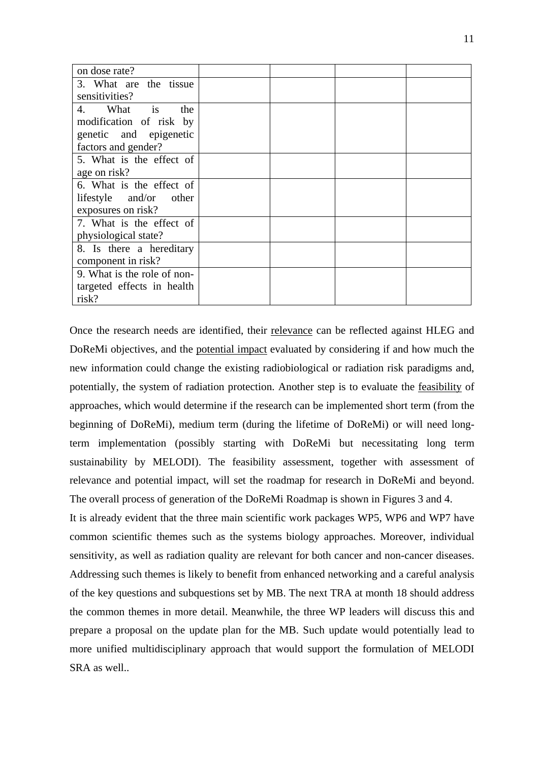| on dose rate?               |  |
|-----------------------------|--|
| 3. What are the tissue      |  |
| sensitivities?              |  |
| is<br>What<br>4.<br>the     |  |
| modification of risk by     |  |
| genetic and epigenetic      |  |
| factors and gender?         |  |
| 5. What is the effect of    |  |
| age on risk?                |  |
| 6. What is the effect of    |  |
| lifestyle and/or<br>other   |  |
| exposures on risk?          |  |
| 7. What is the effect of    |  |
| physiological state?        |  |
| 8. Is there a hereditary    |  |
| component in risk?          |  |
| 9. What is the role of non- |  |
| targeted effects in health  |  |
| risk?                       |  |

Once the research needs are identified, their relevance can be reflected against HLEG and DoReMi objectives, and the potential impact evaluated by considering if and how much the new information could change the existing radiobiological or radiation risk paradigms and, potentially, the system of radiation protection. Another step is to evaluate the feasibility of approaches, which would determine if the research can be implemented short term (from the beginning of DoReMi), medium term (during the lifetime of DoReMi) or will need longterm implementation (possibly starting with DoReMi but necessitating long term sustainability by MELODI). The feasibility assessment, together with assessment of relevance and potential impact, will set the roadmap for research in DoReMi and beyond. The overall process of generation of the DoReMi Roadmap is shown in Figures 3 and 4.

It is already evident that the three main scientific work packages WP5, WP6 and WP7 have common scientific themes such as the systems biology approaches. Moreover, individual sensitivity, as well as radiation quality are relevant for both cancer and non-cancer diseases. Addressing such themes is likely to benefit from enhanced networking and a careful analysis of the key questions and subquestions set by MB. The next TRA at month 18 should address the common themes in more detail. Meanwhile, the three WP leaders will discuss this and prepare a proposal on the update plan for the MB. Such update would potentially lead to more unified multidisciplinary approach that would support the formulation of MELODI SRA as well..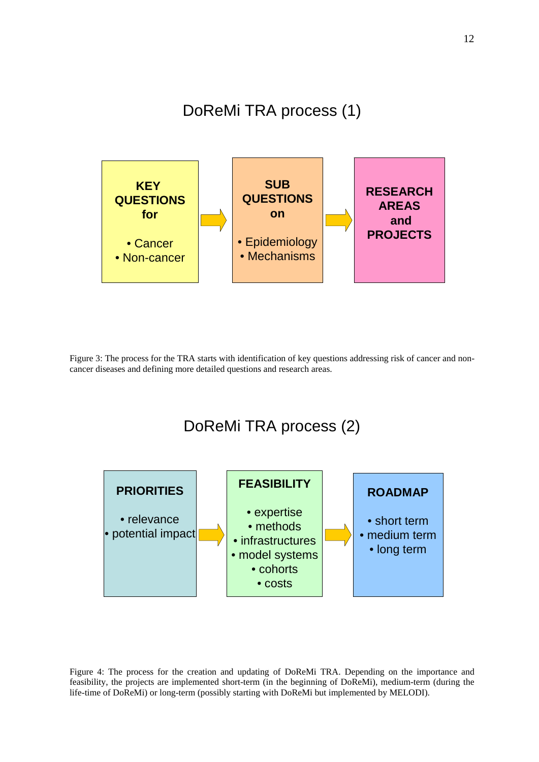DoReMi TRA process (1)



Figure 3: The process for the TRA starts with identification of key questions addressing risk of cancer and noncancer diseases and defining more detailed questions and research areas.



Figure 4: The process for the creation and updating of DoReMi TRA. Depending on the importance and feasibility, the projects are implemented short-term (in the beginning of DoReMi), medium-term (during the life-time of DoReMi) or long-term (possibly starting with DoReMi but implemented by MELODI).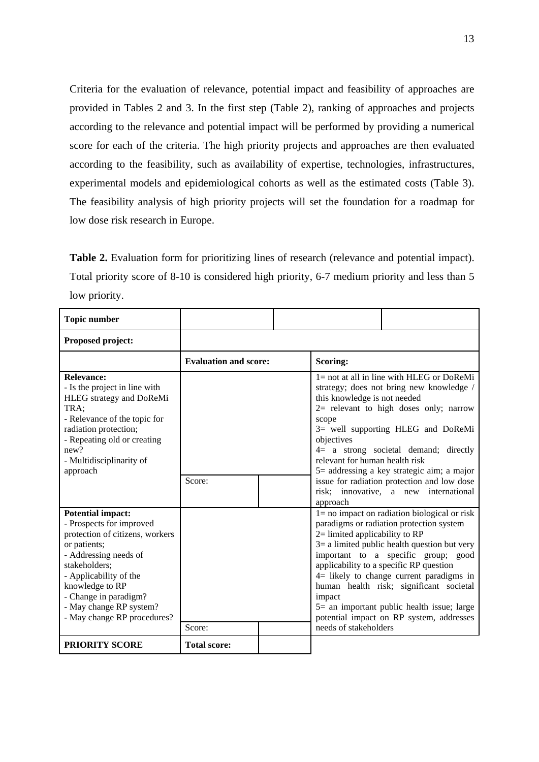Criteria for the evaluation of relevance, potential impact and feasibility of approaches are provided in Tables 2 and 3. In the first step (Table 2), ranking of approaches and projects according to the relevance and potential impact will be performed by providing a numerical score for each of the criteria. The high priority projects and approaches are then evaluated according to the feasibility, such as availability of expertise, technologies, infrastructures, experimental models and epidemiological cohorts as well as the estimated costs (Table 3). The feasibility analysis of high priority projects will set the foundation for a roadmap for low dose risk research in Europe.

Table 2. Evaluation form for prioritizing lines of research (relevance and potential impact). Total priority score of 8-10 is considered high priority, 6-7 medium priority and less than 5 low priority.

| <b>Topic number</b>                                                                                                                                                                                                                                                               |                              |                                                                                       |                                                                                                                                                                                                                                                                                                                                                                                                                       |
|-----------------------------------------------------------------------------------------------------------------------------------------------------------------------------------------------------------------------------------------------------------------------------------|------------------------------|---------------------------------------------------------------------------------------|-----------------------------------------------------------------------------------------------------------------------------------------------------------------------------------------------------------------------------------------------------------------------------------------------------------------------------------------------------------------------------------------------------------------------|
| Proposed project:                                                                                                                                                                                                                                                                 |                              |                                                                                       |                                                                                                                                                                                                                                                                                                                                                                                                                       |
|                                                                                                                                                                                                                                                                                   | <b>Evaluation and score:</b> | Scoring:                                                                              |                                                                                                                                                                                                                                                                                                                                                                                                                       |
| <b>Relevance:</b><br>- Is the project in line with<br>HLEG strategy and DoReMi<br>TRA:<br>- Relevance of the topic for<br>radiation protection;<br>- Repeating old or creating<br>new?<br>- Multidisciplinarity of<br>approach                                                    |                              | this knowledge is not needed<br>scope<br>objectives<br>relevant for human health risk | $1 = not$ at all in line with HLEG or DoReMi<br>strategy; does not bring new knowledge /<br>$2=$ relevant to high doses only; narrow<br>3= well supporting HLEG and DoReMi<br>$4=$ a strong societal demand; directly<br>$5$ = addressing a key strategic aim; a major                                                                                                                                                |
|                                                                                                                                                                                                                                                                                   | Score:                       | approach                                                                              | issue for radiation protection and low dose<br>risk; innovative, a new international                                                                                                                                                                                                                                                                                                                                  |
| <b>Potential impact:</b><br>- Prospects for improved<br>protection of citizens, workers<br>or patients;<br>- Addressing needs of<br>stakeholders:<br>- Applicability of the<br>knowledge to RP<br>- Change in paradigm?<br>- May change RP system?<br>- May change RP procedures? | Score:                       | $2=$ limited applicability to RP<br>impact<br>needs of stakeholders                   | $l =$ no impact on radiation biological or risk<br>paradigms or radiation protection system<br>$3=$ a limited public health question but very<br>important to a specific group; good<br>applicability to a specific RP question<br>$4=$ likely to change current paradigms in<br>human health risk; significant societal<br>$5$ = an important public health issue; large<br>potential impact on RP system, addresses |
| <b>PRIORITY SCORE</b>                                                                                                                                                                                                                                                             | <b>Total score:</b>          |                                                                                       |                                                                                                                                                                                                                                                                                                                                                                                                                       |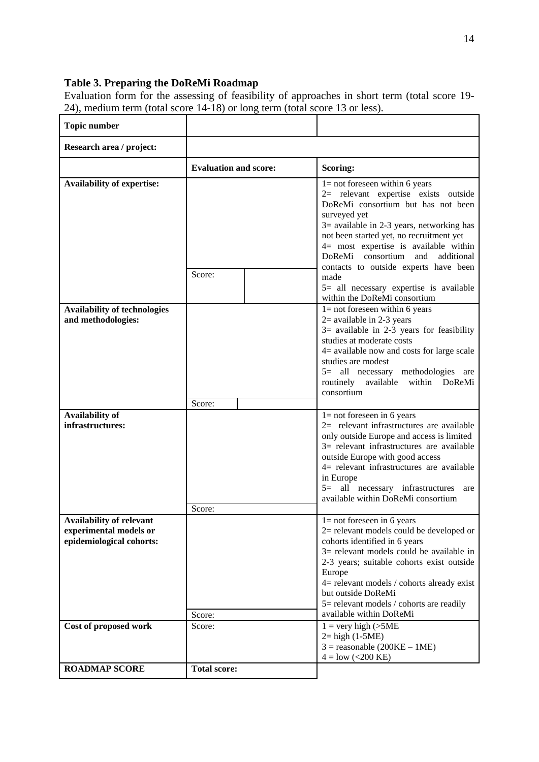# **Table 3. Preparing the DoReMi Roadmap**

Evaluation form for the assessing of feasibility of approaches in short term (total score 19- 24), medium term (total score 14-18) or long term (total score 13 or less).

| <b>Topic number</b>                                                                   |                              |                                                                                                                                                                                                                                                                                                                                                                                                                                      |
|---------------------------------------------------------------------------------------|------------------------------|--------------------------------------------------------------------------------------------------------------------------------------------------------------------------------------------------------------------------------------------------------------------------------------------------------------------------------------------------------------------------------------------------------------------------------------|
| Research area / project:                                                              |                              |                                                                                                                                                                                                                                                                                                                                                                                                                                      |
|                                                                                       | <b>Evaluation and score:</b> | Scoring:                                                                                                                                                                                                                                                                                                                                                                                                                             |
| <b>Availability of expertise:</b>                                                     | Score:                       | $l = not$ foreseen within 6 years<br>2= relevant expertise exists outside<br>DoReMi consortium but has not been<br>surveyed yet<br>$3$ = available in 2-3 years, networking has<br>not been started yet, no recruitment yet<br>4= most expertise is available within<br>DoReMi consortium and additional<br>contacts to outside experts have been<br>made<br>5= all necessary expertise is available<br>within the DoReMi consortium |
| <b>Availability of technologies</b><br>and methodologies:                             | Score:                       | $l = not$ foreseen within 6 years<br>$2$ = available in 2-3 years<br>$3=$ available in 2-3 years for feasibility<br>studies at moderate costs<br>$4$ = available now and costs for large scale<br>studies are modest<br>5= all necessary methodologies are<br>routinely available within DoReMi<br>consortium                                                                                                                        |
| Availability of<br>infrastructures:                                                   | Score:                       | $l = not$ foreseen in 6 years<br>2= relevant infrastructures are available<br>only outside Europe and access is limited<br>3= relevant infrastructures are available<br>outside Europe with good access<br>4= relevant infrastructures are available<br>in Europe<br>5= all necessary infrastructures<br>are<br>available within DoReMi consortium                                                                                   |
| <b>Availability of relevant</b><br>experimental models or<br>epidemiological cohorts: | Score:                       | $1 = not$ foreseen in 6 years<br>$2$ = relevant models could be developed or<br>cohorts identified in 6 years<br>$3$ = relevant models could be available in<br>2-3 years; suitable cohorts exist outside<br>Europe<br>4= relevant models / cohorts already exist<br>but outside DoReMi<br>5= relevant models / cohorts are readily<br>available within DoReMi                                                                       |
| Cost of proposed work                                                                 | Score:                       | $1 = \text{very high } (\text{&5ME})$<br>$2 = high (1-5ME)$<br>$3 =$ reasonable (200KE – 1ME)<br>$4 =$ low (<200 KE)                                                                                                                                                                                                                                                                                                                 |
| <b>ROADMAP SCORE</b>                                                                  | <b>Total score:</b>          |                                                                                                                                                                                                                                                                                                                                                                                                                                      |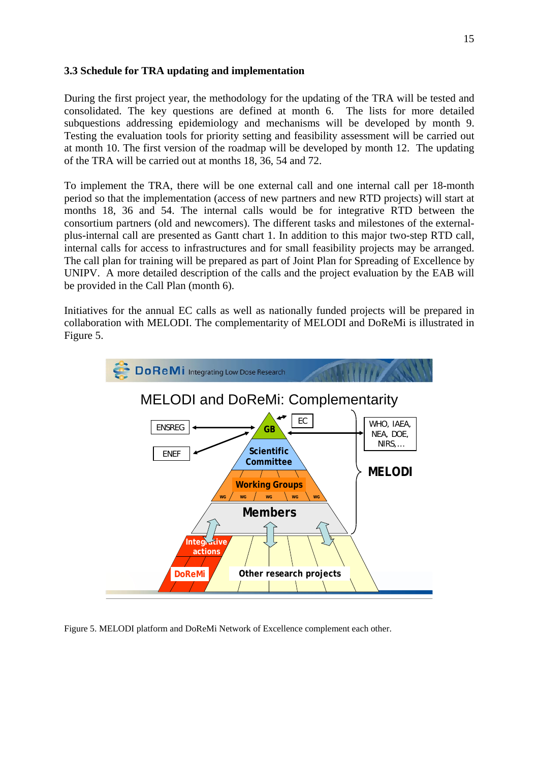# <span id="page-14-0"></span>**3.3 Schedule for TRA updating and implementation**

During the first project year, the methodology for the updating of the TRA will be tested and consolidated. The key questions are defined at month 6. The lists for more detailed subquestions addressing epidemiology and mechanisms will be developed by month 9. Testing the evaluation tools for priority setting and feasibility assessment will be carried out at month 10. The first version of the roadmap will be developed by month 12. The updating of the TRA will be carried out at months 18, 36, 54 and 72.

To implement the TRA, there will be one external call and one internal call per 18-month period so that the implementation (access of new partners and new RTD projects) will start at months 18, 36 and 54. The internal calls would be for integrative RTD between the consortium partners (old and newcomers). The different tasks and milestones of the externalplus-internal call are presented as Gantt chart 1. In addition to this major two-step RTD call, internal calls for access to infrastructures and for small feasibility projects may be arranged. The call plan for training will be prepared as part of Joint Plan for Spreading of Excellence by UNIPV. A more detailed description of the calls and the project evaluation by the EAB will be provided in the Call Plan (month 6).

Initiatives for the annual EC calls as well as nationally funded projects will be prepared in collaboration with MELODI. The complementarity of MELODI and DoReMi is illustrated in Figure 5.



Figure 5. MELODI platform and DoReMi Network of Excellence complement each other.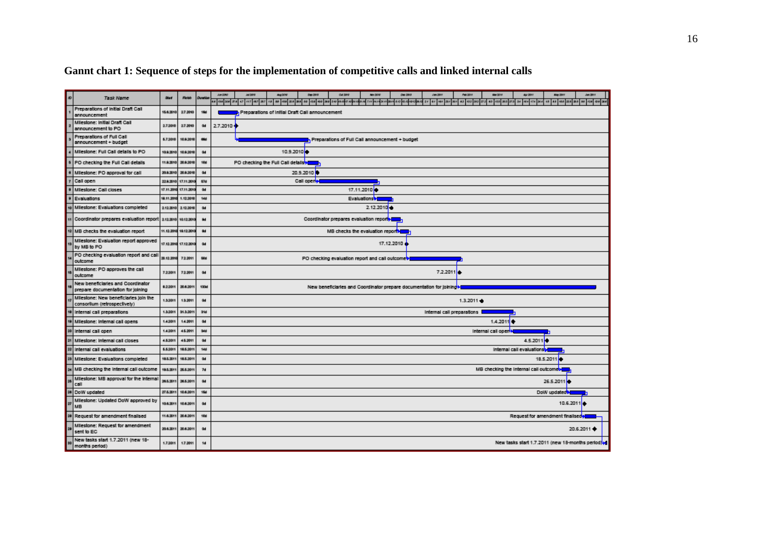| o | <b>Task Name</b>                                                       | <b>Start</b> | <b>Floke</b> |            | 39-300<br>04,999<br><b>Sex 2019</b><br><b>Min 2014</b><br>Ow SWI<br><b>Pain DOA</b><br>Just 2001<br>Aug Club Ad<br>Jan 200<br><b>UM DO 6</b><br>Air 209<br>May 20V<br>Jan 38/4<br>18 738 308<br>167 467<br>200 210 км/кл кл рекомен-<br><b>TIV MARNIE</b><br>800 812 12.12 12:12:00 17<br>97 491 237 301<br>62 452<br>63 433 393 273 34 404 414 364<br>18 88 488 228 228<br>27.6 4.7<br>s.<br>68 788<br>2018 2019<br>80 720<br>21 <sup>2</sup><br>84 | 104 108 366 |  |  |  |
|---|------------------------------------------------------------------------|--------------|--------------|------------|------------------------------------------------------------------------------------------------------------------------------------------------------------------------------------------------------------------------------------------------------------------------------------------------------------------------------------------------------------------------------------------------------------------------------------------------------|-------------|--|--|--|
|   | Preparations of Initial Draft Call<br>announcement                     | 15.6.2010    | 27.3910      | 16d        | Preparations of initial Draft Call announcement                                                                                                                                                                                                                                                                                                                                                                                                      |             |  |  |  |
|   | Milestone: Initial Draft Call<br>announcement to PO                    | 2,7,3010     | 27.3910      | Gd         | 2.7.2010                                                                                                                                                                                                                                                                                                                                                                                                                                             |             |  |  |  |
|   | Preparations of Full Call<br>announcement + budget                     | 5.7.3010     | 10.9.3010    |            | Preparations of Full Call announcement + budget                                                                                                                                                                                                                                                                                                                                                                                                      |             |  |  |  |
|   | Milestone: Full Call details to PO                                     | 10.9.2010    | 10.9.3010    | Gd         | 10.9.2010                                                                                                                                                                                                                                                                                                                                                                                                                                            |             |  |  |  |
|   | PO checking the Full Call details                                      | 11.9.201     | 20.9.30%     | 10d        | PO checking the Full Call details >                                                                                                                                                                                                                                                                                                                                                                                                                  |             |  |  |  |
|   | Milestone: PO approval for call                                        | 20.9.201     | 20.9.30%     | Gd         | 20.9.2010                                                                                                                                                                                                                                                                                                                                                                                                                                            |             |  |  |  |
|   | Call open                                                              | 22.9.2010    | 17.11.201    | 674        | Call openier                                                                                                                                                                                                                                                                                                                                                                                                                                         |             |  |  |  |
|   | Milestone: Call closes                                                 | 17.11.201    | 17.11.201    | Gd         | 17.11.2010                                                                                                                                                                                                                                                                                                                                                                                                                                           |             |  |  |  |
|   | Evaluations                                                            | 18.11.201    | 1.12.3010    | 144        | Evaluations <sup>t</sup>                                                                                                                                                                                                                                                                                                                                                                                                                             |             |  |  |  |
|   | Milestone: Evaluations completed                                       | 2.12.2010    | 2.12.3010    | Gd         | 2.12.2010                                                                                                                                                                                                                                                                                                                                                                                                                                            |             |  |  |  |
|   | Coordinator prepares evaluation report 2122010                         |              | 10:12.2010   | <b>Skd</b> | Coordinator prepares evaluation report                                                                                                                                                                                                                                                                                                                                                                                                               |             |  |  |  |
|   | MB checks the evaluation report                                        | 11.12.201    | 18:12:20     | thd.       | MB checks the evaluation report                                                                                                                                                                                                                                                                                                                                                                                                                      |             |  |  |  |
|   | Milestone: Evaluation report approved<br>by MB to PO                   | 17.12.2010   | 17.12.2010   | <b>Gd</b>  | 17.12.2010                                                                                                                                                                                                                                                                                                                                                                                                                                           |             |  |  |  |
|   | PO checking evaluation report and call<br>outcome                      | 20.12.201    | 72.3011      | <b>GOd</b> | PO checking evaluation report and call outcome                                                                                                                                                                                                                                                                                                                                                                                                       |             |  |  |  |
|   | Milestone: PO approves the call<br>outcome                             | 7.2.3011     | 7:2:3011     | Gd         | 7.2.2011                                                                                                                                                                                                                                                                                                                                                                                                                                             |             |  |  |  |
|   | New beneficiaries and Coordinator<br>prepare documentation for joining | 8.2.3011     | 20.6.3011    | 125d       | New beneficiaries and Coordinator prepare documentation for joining                                                                                                                                                                                                                                                                                                                                                                                  |             |  |  |  |
|   | Milestone: New beneficiaries join the<br>consortium (retrospectively)  | 1.5301       | 13.301       | <b>Gd</b>  | $1.3.2011 +$                                                                                                                                                                                                                                                                                                                                                                                                                                         |             |  |  |  |
|   | internal call preparations                                             | 1.5.3011     | \$1.5.2011   | 314        | Internal call preparations                                                                                                                                                                                                                                                                                                                                                                                                                           |             |  |  |  |
|   | Milestone: Internal call opens                                         | 1.4.3011     | 14.2011      | 0d         | 1.4.2011                                                                                                                                                                                                                                                                                                                                                                                                                                             |             |  |  |  |
|   | internal call open                                                     | 1.4.3011     | 45.3011      | 344        | internal call open <sup>1</sup>                                                                                                                                                                                                                                                                                                                                                                                                                      |             |  |  |  |
|   | Milestone: Internal call closes                                        | 4.5.3611     | 45.3911      | Gd         | 4.5.2011 0                                                                                                                                                                                                                                                                                                                                                                                                                                           |             |  |  |  |
|   | internal call evaluations                                              | 5.5.3011     | 19.5.3011    | 144        | Internal call evaluationship                                                                                                                                                                                                                                                                                                                                                                                                                         |             |  |  |  |
|   | Milestone: Evaluations completed                                       | 19.5.2011    | 19.5.301     | Gd         | 18.5.2011                                                                                                                                                                                                                                                                                                                                                                                                                                            |             |  |  |  |
|   | MB checking the internal call outcome                                  | 19.5.2011    | 26.6.201     | 7d         | MB checking the internal call outcomeby                                                                                                                                                                                                                                                                                                                                                                                                              |             |  |  |  |
|   | Milestone: MB approval for the internal<br>call                        | 26.5.2011    | 26.5.3011    | Gd         | 26.5.2011                                                                                                                                                                                                                                                                                                                                                                                                                                            |             |  |  |  |
|   | DoW updated                                                            | 27.5.201     | 10.6.3011    | 15d        | DoW updated <sup>by</sup>                                                                                                                                                                                                                                                                                                                                                                                                                            |             |  |  |  |
|   | Milestone: Updated DoW approved by<br><b>MB</b>                        | 10.6.2011    | 10.6.3011    | <b>Gd</b>  | 10.6.2011                                                                                                                                                                                                                                                                                                                                                                                                                                            |             |  |  |  |
|   | Request for amendment finalised                                        | 11.6.201     | 20.6.2011    | 10d        | Request for amendment finalised                                                                                                                                                                                                                                                                                                                                                                                                                      |             |  |  |  |
|   | Milestone: Request for amendment<br>sent to EC                         | 20.6.2011    | 20.6.301     | <b>Gd</b>  | 20.6.2011 $\blacklozenge$                                                                                                                                                                                                                                                                                                                                                                                                                            |             |  |  |  |
|   | New tasks start 1.7.2011 (new 18-<br>months period)                    | 1.7.3011     | 17.3011      | 1d         | New tasks start 1.7.2011 (new 18-months period) of                                                                                                                                                                                                                                                                                                                                                                                                   |             |  |  |  |

# **Gannt chart 1: Sequence of steps for the implementation of competitive calls and linked internal calls**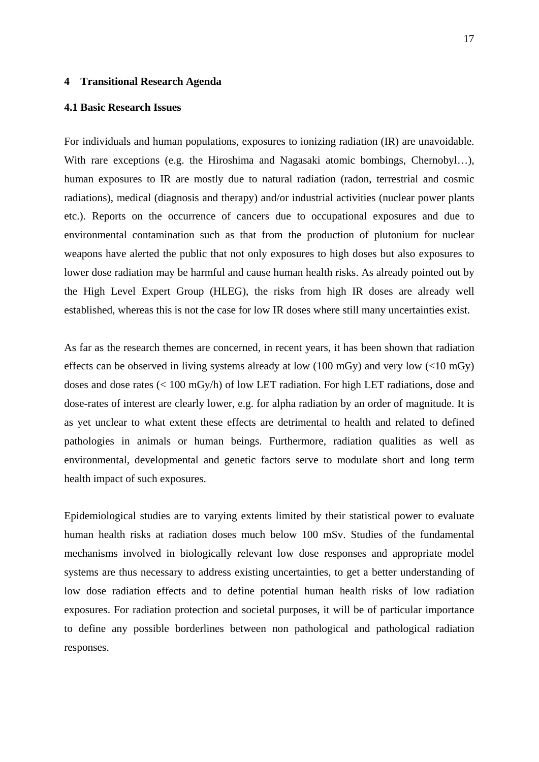#### <span id="page-16-0"></span>**4 Transitional Research Agenda**

#### **4.1 Basic Research Issues**

For individuals and human populations, exposures to ionizing radiation (IR) are unavoidable. With rare exceptions (e.g. the Hiroshima and Nagasaki atomic bombings, Chernobyl…), human exposures to IR are mostly due to natural radiation (radon, terrestrial and cosmic radiations), medical (diagnosis and therapy) and/or industrial activities (nuclear power plants etc.). Reports on the occurrence of cancers due to occupational exposures and due to environmental contamination such as that from the production of plutonium for nuclear weapons have alerted the public that not only exposures to high doses but also exposures to lower dose radiation may be harmful and cause human health risks. As already pointed out by the High Level Expert Group (HLEG), the risks from high IR doses are already well established, whereas this is not the case for low IR doses where still many uncertainties exist.

As far as the research themes are concerned, in recent years, it has been shown that radiation effects can be observed in living systems already at low (100 mGy) and very low (<10 mGy) doses and dose rates (< 100 mGy/h) of low LET radiation. For high LET radiations, dose and dose-rates of interest are clearly lower, e.g. for alpha radiation by an order of magnitude. It is as yet unclear to what extent these effects are detrimental to health and related to defined pathologies in animals or human beings. Furthermore, radiation qualities as well as environmental, developmental and genetic factors serve to modulate short and long term health impact of such exposures.

Epidemiological studies are to varying extents limited by their statistical power to evaluate human health risks at radiation doses much below 100 mSv. Studies of the fundamental mechanisms involved in biologically relevant low dose responses and appropriate model systems are thus necessary to address existing uncertainties, to get a better understanding of low dose radiation effects and to define potential human health risks of low radiation exposures. For radiation protection and societal purposes, it will be of particular importance to define any possible borderlines between non pathological and pathological radiation responses.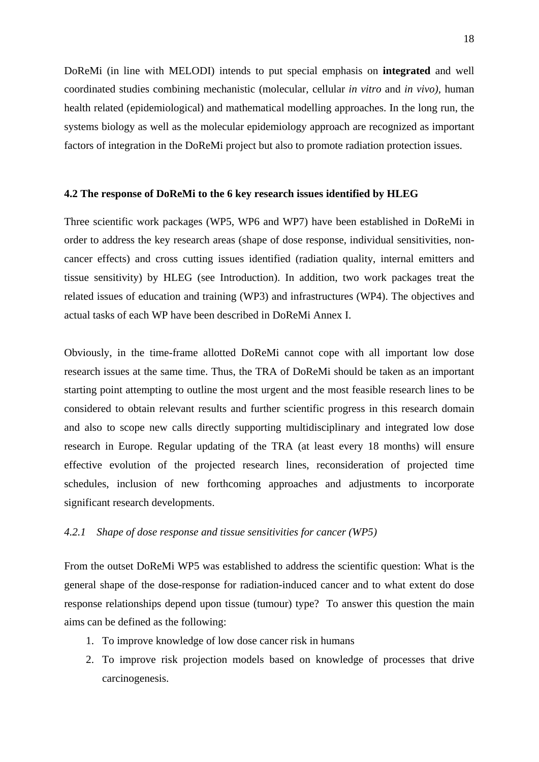<span id="page-17-0"></span>DoReMi (in line with MELODI) intends to put special emphasis on **integrated** and well coordinated studies combining mechanistic (molecular, cellular *in vitro* and *in vivo),* human health related (epidemiological) and mathematical modelling approaches. In the long run, the systems biology as well as the molecular epidemiology approach are recognized as important factors of integration in the DoReMi project but also to promote radiation protection issues.

### **4.2 The response of DoReMi to the 6 key research issues identified by HLEG**

Three scientific work packages (WP5, WP6 and WP7) have been established in DoReMi in order to address the key research areas (shape of dose response, individual sensitivities, noncancer effects) and cross cutting issues identified (radiation quality, internal emitters and tissue sensitivity) by HLEG (see Introduction). In addition, two work packages treat the related issues of education and training (WP3) and infrastructures (WP4). The objectives and actual tasks of each WP have been described in DoReMi Annex I.

Obviously, in the time-frame allotted DoReMi cannot cope with all important low dose research issues at the same time. Thus, the TRA of DoReMi should be taken as an important starting point attempting to outline the most urgent and the most feasible research lines to be considered to obtain relevant results and further scientific progress in this research domain and also to scope new calls directly supporting multidisciplinary and integrated low dose research in Europe. Regular updating of the TRA (at least every 18 months) will ensure effective evolution of the projected research lines, reconsideration of projected time schedules, inclusion of new forthcoming approaches and adjustments to incorporate significant research developments.

#### *4.2.1 Shape of dose response and tissue sensitivities for cancer (WP5)*

From the outset DoReMi WP5 was established to address the scientific question: What is the general shape of the dose-response for radiation-induced cancer and to what extent do dose response relationships depend upon tissue (tumour) type? To answer this question the main aims can be defined as the following:

- 1. To improve knowledge of low dose cancer risk in humans
- 2. To improve risk projection models based on knowledge of processes that drive carcinogenesis.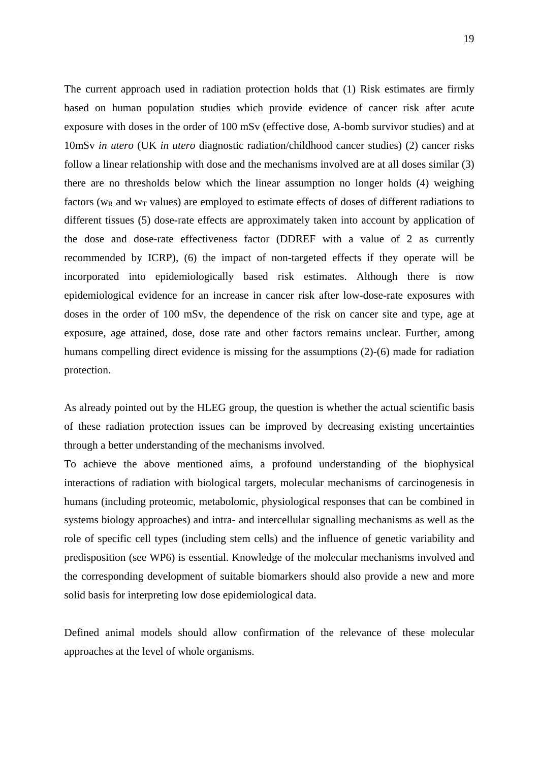The current approach used in radiation protection holds that (1) Risk estimates are firmly based on human population studies which provide evidence of cancer risk after acute exposure with doses in the order of 100 mSv (effective dose, A-bomb survivor studies) and at 10mSv *in utero* (UK *in utero* diagnostic radiation/childhood cancer studies) (2) cancer risks follow a linear relationship with dose and the mechanisms involved are at all doses similar (3) there are no thresholds below which the linear assumption no longer holds (4) weighing factors ( $w_R$  and  $w_T$  values) are employed to estimate effects of doses of different radiations to different tissues (5) dose-rate effects are approximately taken into account by application of the dose and dose-rate effectiveness factor (DDREF with a value of 2 as currently recommended by ICRP), (6) the impact of non-targeted effects if they operate will be incorporated into epidemiologically based risk estimates. Although there is now epidemiological evidence for an increase in cancer risk after low-dose-rate exposures with doses in the order of 100 mSv, the dependence of the risk on cancer site and type, age at exposure, age attained, dose, dose rate and other factors remains unclear. Further, among humans compelling direct evidence is missing for the assumptions (2)-(6) made for radiation protection.

As already pointed out by the HLEG group, the question is whether the actual scientific basis of these radiation protection issues can be improved by decreasing existing uncertainties through a better understanding of the mechanisms involved.

To achieve the above mentioned aims, a profound understanding of the biophysical interactions of radiation with biological targets, molecular mechanisms of carcinogenesis in humans (including proteomic, metabolomic, physiological responses that can be combined in systems biology approaches) and intra- and intercellular signalling mechanisms as well as the role of specific cell types (including stem cells) and the influence of genetic variability and predisposition (see WP6) is essential. Knowledge of the molecular mechanisms involved and the corresponding development of suitable biomarkers should also provide a new and more solid basis for interpreting low dose epidemiological data.

Defined animal models should allow confirmation of the relevance of these molecular approaches at the level of whole organisms.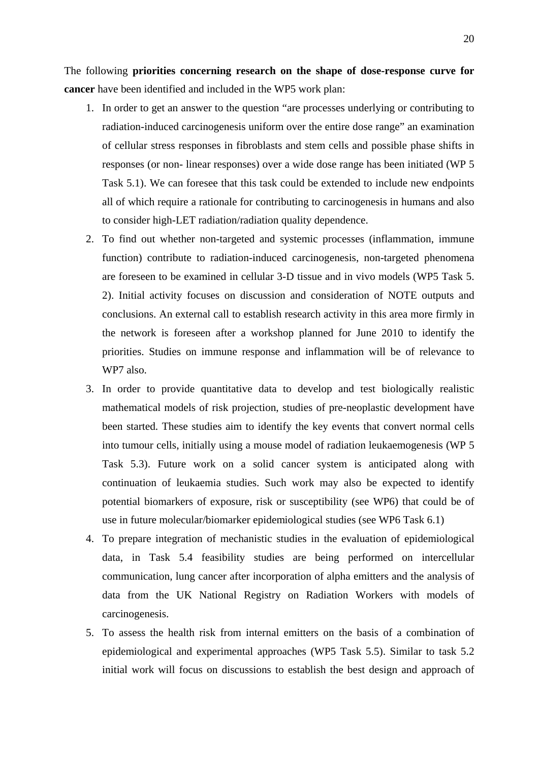The following **priorities concerning research on the shape of dose-response curve for cancer** have been identified and included in the WP5 work plan:

- 1. In order to get an answer to the question "are processes underlying or contributing to radiation-induced carcinogenesis uniform over the entire dose range" an examination of cellular stress responses in fibroblasts and stem cells and possible phase shifts in responses (or non- linear responses) over a wide dose range has been initiated (WP 5 Task 5.1). We can foresee that this task could be extended to include new endpoints all of which require a rationale for contributing to carcinogenesis in humans and also to consider high-LET radiation/radiation quality dependence.
- 2. To find out whether non-targeted and systemic processes (inflammation, immune function) contribute to radiation-induced carcinogenesis, non-targeted phenomena are foreseen to be examined in cellular 3-D tissue and in vivo models (WP5 Task 5. 2). Initial activity focuses on discussion and consideration of NOTE outputs and conclusions. An external call to establish research activity in this area more firmly in the network is foreseen after a workshop planned for June 2010 to identify the priorities. Studies on immune response and inflammation will be of relevance to WP7 also.
- 3. In order to provide quantitative data to develop and test biologically realistic mathematical models of risk projection, studies of pre-neoplastic development have been started. These studies aim to identify the key events that convert normal cells into tumour cells, initially using a mouse model of radiation leukaemogenesis (WP 5 Task 5.3). Future work on a solid cancer system is anticipated along with continuation of leukaemia studies. Such work may also be expected to identify potential biomarkers of exposure, risk or susceptibility (see WP6) that could be of use in future molecular/biomarker epidemiological studies (see WP6 Task 6.1)
- 4. To prepare integration of mechanistic studies in the evaluation of epidemiological data, in Task 5.4 feasibility studies are being performed on intercellular communication, lung cancer after incorporation of alpha emitters and the analysis of data from the UK National Registry on Radiation Workers with models of carcinogenesis.
- 5. To assess the health risk from internal emitters on the basis of a combination of epidemiological and experimental approaches (WP5 Task 5.5). Similar to task 5.2 initial work will focus on discussions to establish the best design and approach of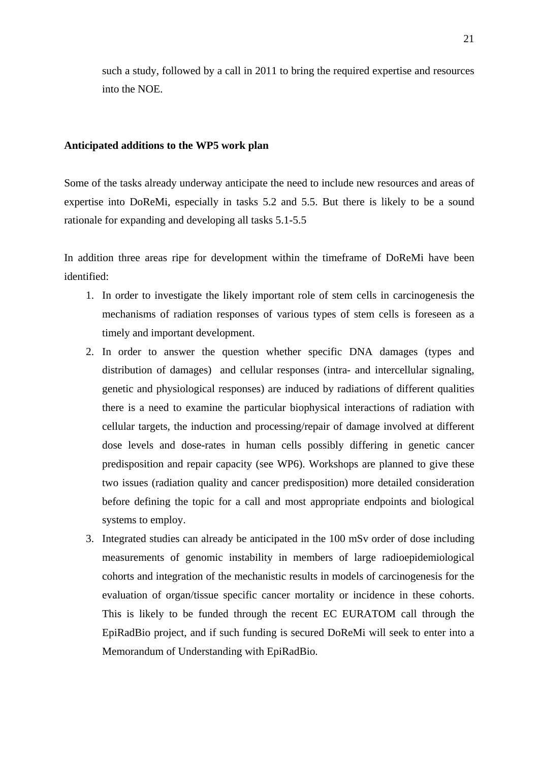such a study, followed by a call in 2011 to bring the required expertise and resources into the NOE.

#### **Anticipated additions to the WP5 work plan**

Some of the tasks already underway anticipate the need to include new resources and areas of expertise into DoReMi, especially in tasks 5.2 and 5.5. But there is likely to be a sound rationale for expanding and developing all tasks 5.1-5.5

In addition three areas ripe for development within the timeframe of DoReMi have been identified:

- 1. In order to investigate the likely important role of stem cells in carcinogenesis the mechanisms of radiation responses of various types of stem cells is foreseen as a timely and important development.
- 2. In order to answer the question whether specific DNA damages (types and distribution of damages) and cellular responses (intra- and intercellular signaling, genetic and physiological responses) are induced by radiations of different qualities there is a need to examine the particular biophysical interactions of radiation with cellular targets, the induction and processing/repair of damage involved at different dose levels and dose-rates in human cells possibly differing in genetic cancer predisposition and repair capacity (see WP6). Workshops are planned to give these two issues (radiation quality and cancer predisposition) more detailed consideration before defining the topic for a call and most appropriate endpoints and biological systems to employ.
- 3. Integrated studies can already be anticipated in the 100 mSv order of dose including measurements of genomic instability in members of large radioepidemiological cohorts and integration of the mechanistic results in models of carcinogenesis for the evaluation of organ/tissue specific cancer mortality or incidence in these cohorts. This is likely to be funded through the recent EC EURATOM call through the EpiRadBio project, and if such funding is secured DoReMi will seek to enter into a Memorandum of Understanding with EpiRadBio.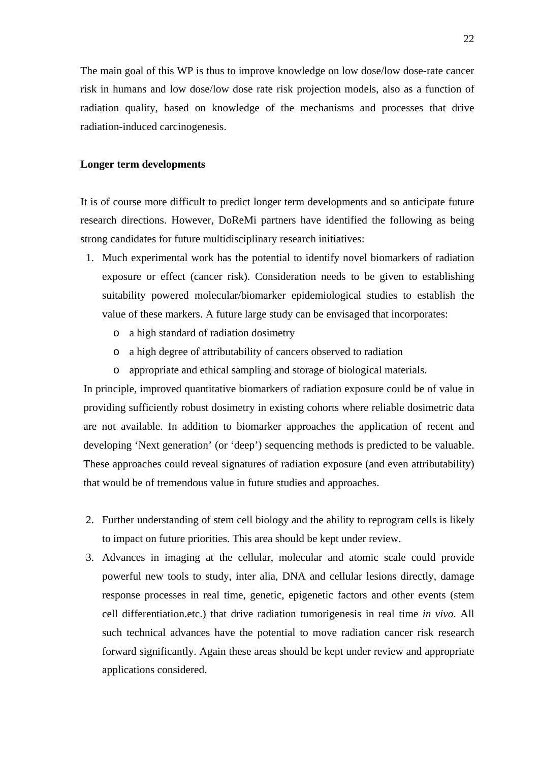The main goal of this WP is thus to improve knowledge on low dose/low dose-rate cancer risk in humans and low dose/low dose rate risk projection models, also as a function of radiation quality, based on knowledge of the mechanisms and processes that drive radiation-induced carcinogenesis.

## **Longer term developments**

It is of course more difficult to predict longer term developments and so anticipate future research directions. However, DoReMi partners have identified the following as being strong candidates for future multidisciplinary research initiatives:

- 1. Much experimental work has the potential to identify novel biomarkers of radiation exposure or effect (cancer risk). Consideration needs to be given to establishing suitability powered molecular/biomarker epidemiological studies to establish the value of these markers. A future large study can be envisaged that incorporates:
	- o a high standard of radiation dosimetry
	- o a high degree of attributability of cancers observed to radiation
	- o appropriate and ethical sampling and storage of biological materials.

In principle, improved quantitative biomarkers of radiation exposure could be of value in providing sufficiently robust dosimetry in existing cohorts where reliable dosimetric data are not available. In addition to biomarker approaches the application of recent and developing 'Next generation' (or 'deep') sequencing methods is predicted to be valuable. These approaches could reveal signatures of radiation exposure (and even attributability) that would be of tremendous value in future studies and approaches.

- 2. Further understanding of stem cell biology and the ability to reprogram cells is likely to impact on future priorities. This area should be kept under review.
- 3. Advances in imaging at the cellular, molecular and atomic scale could provide powerful new tools to study, inter alia, DNA and cellular lesions directly, damage response processes in real time, genetic, epigenetic factors and other events (stem cell differentiation.etc.) that drive radiation tumorigenesis in real time *in vivo*. All such technical advances have the potential to move radiation cancer risk research forward significantly. Again these areas should be kept under review and appropriate applications considered.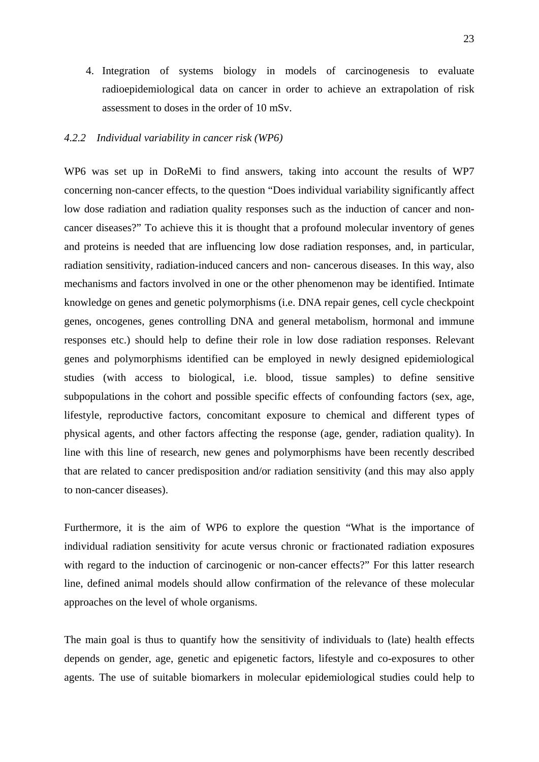<span id="page-22-0"></span>4. Integration of systems biology in models of carcinogenesis to evaluate radioepidemiological data on cancer in order to achieve an extrapolation of risk assessment to doses in the order of 10 mSv.

#### *4.2.2 Individual variability in cancer risk (WP6)*

WP6 was set up in DoReMi to find answers, taking into account the results of WP7 concerning non-cancer effects, to the question "Does individual variability significantly affect low dose radiation and radiation quality responses such as the induction of cancer and noncancer diseases?" To achieve this it is thought that a profound molecular inventory of genes and proteins is needed that are influencing low dose radiation responses, and, in particular, radiation sensitivity, radiation-induced cancers and non- cancerous diseases. In this way, also mechanisms and factors involved in one or the other phenomenon may be identified. Intimate knowledge on genes and genetic polymorphisms (i.e. DNA repair genes, cell cycle checkpoint genes, oncogenes, genes controlling DNA and general metabolism, hormonal and immune responses etc.) should help to define their role in low dose radiation responses. Relevant genes and polymorphisms identified can be employed in newly designed epidemiological studies (with access to biological, i.e. blood, tissue samples) to define sensitive subpopulations in the cohort and possible specific effects of confounding factors (sex, age, lifestyle, reproductive factors, concomitant exposure to chemical and different types of physical agents, and other factors affecting the response (age, gender, radiation quality). In line with this line of research, new genes and polymorphisms have been recently described that are related to cancer predisposition and/or radiation sensitivity (and this may also apply to non-cancer diseases).

Furthermore, it is the aim of WP6 to explore the question "What is the importance of individual radiation sensitivity for acute versus chronic or fractionated radiation exposures with regard to the induction of carcinogenic or non-cancer effects?" For this latter research line, defined animal models should allow confirmation of the relevance of these molecular approaches on the level of whole organisms.

The main goal is thus to quantify how the sensitivity of individuals to (late) health effects depends on gender, age, genetic and epigenetic factors, lifestyle and co-exposures to other agents. The use of suitable biomarkers in molecular epidemiological studies could help to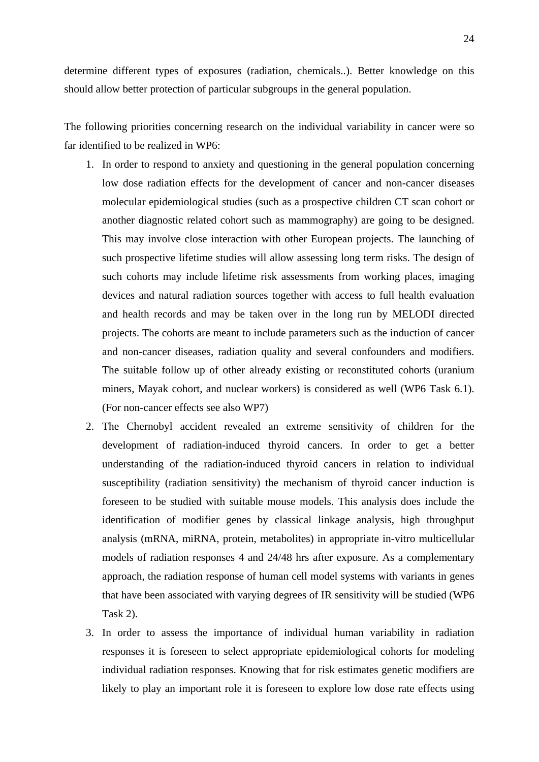determine different types of exposures (radiation, chemicals..). Better knowledge on this should allow better protection of particular subgroups in the general population.

The following priorities concerning research on the individual variability in cancer were so far identified to be realized in WP6:

- 1. In order to respond to anxiety and questioning in the general population concerning low dose radiation effects for the development of cancer and non-cancer diseases molecular epidemiological studies (such as a prospective children CT scan cohort or another diagnostic related cohort such as mammography) are going to be designed. This may involve close interaction with other European projects. The launching of such prospective lifetime studies will allow assessing long term risks. The design of such cohorts may include lifetime risk assessments from working places, imaging devices and natural radiation sources together with access to full health evaluation and health records and may be taken over in the long run by MELODI directed projects. The cohorts are meant to include parameters such as the induction of cancer and non-cancer diseases, radiation quality and several confounders and modifiers. The suitable follow up of other already existing or reconstituted cohorts (uranium miners, Mayak cohort, and nuclear workers) is considered as well (WP6 Task 6.1). (For non-cancer effects see also WP7)
- 2. The Chernobyl accident revealed an extreme sensitivity of children for the development of radiation-induced thyroid cancers. In order to get a better understanding of the radiation-induced thyroid cancers in relation to individual susceptibility (radiation sensitivity) the mechanism of thyroid cancer induction is foreseen to be studied with suitable mouse models. This analysis does include the identification of modifier genes by classical linkage analysis, high throughput analysis (mRNA, miRNA, protein, metabolites) in appropriate in-vitro multicellular models of radiation responses 4 and 24/48 hrs after exposure. As a complementary approach, the radiation response of human cell model systems with variants in genes that have been associated with varying degrees of IR sensitivity will be studied (WP6 Task 2).
- 3. In order to assess the importance of individual human variability in radiation responses it is foreseen to select appropriate epidemiological cohorts for modeling individual radiation responses. Knowing that for risk estimates genetic modifiers are likely to play an important role it is foreseen to explore low dose rate effects using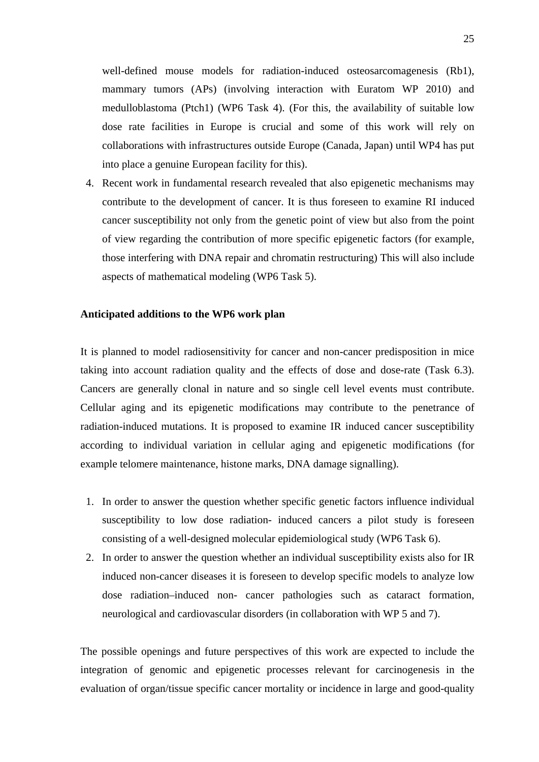well-defined mouse models for radiation-induced osteosarcomagenesis (Rb1), mammary tumors (APs) (involving interaction with Euratom WP 2010) and medulloblastoma (Ptch1) (WP6 Task 4). (For this, the availability of suitable low dose rate facilities in Europe is crucial and some of this work will rely on collaborations with infrastructures outside Europe (Canada, Japan) until WP4 has put into place a genuine European facility for this).

4. Recent work in fundamental research revealed that also epigenetic mechanisms may contribute to the development of cancer. It is thus foreseen to examine RI induced cancer susceptibility not only from the genetic point of view but also from the point of view regarding the contribution of more specific epigenetic factors (for example, those interfering with DNA repair and chromatin restructuring) This will also include aspects of mathematical modeling (WP6 Task 5).

#### **Anticipated additions to the WP6 work plan**

It is planned to model radiosensitivity for cancer and non-cancer predisposition in mice taking into account radiation quality and the effects of dose and dose-rate (Task 6.3). Cancers are generally clonal in nature and so single cell level events must contribute. Cellular aging and its epigenetic modifications may contribute to the penetrance of radiation-induced mutations. It is proposed to examine IR induced cancer susceptibility according to individual variation in cellular aging and epigenetic modifications (for example telomere maintenance, histone marks, DNA damage signalling).

- 1. In order to answer the question whether specific genetic factors influence individual susceptibility to low dose radiation- induced cancers a pilot study is foreseen consisting of a well-designed molecular epidemiological study (WP6 Task 6).
- 2. In order to answer the question whether an individual susceptibility exists also for IR induced non-cancer diseases it is foreseen to develop specific models to analyze low dose radiation–induced non- cancer pathologies such as cataract formation, neurological and cardiovascular disorders (in collaboration with WP 5 and 7).

The possible openings and future perspectives of this work are expected to include the integration of genomic and epigenetic processes relevant for carcinogenesis in the evaluation of organ/tissue specific cancer mortality or incidence in large and good-quality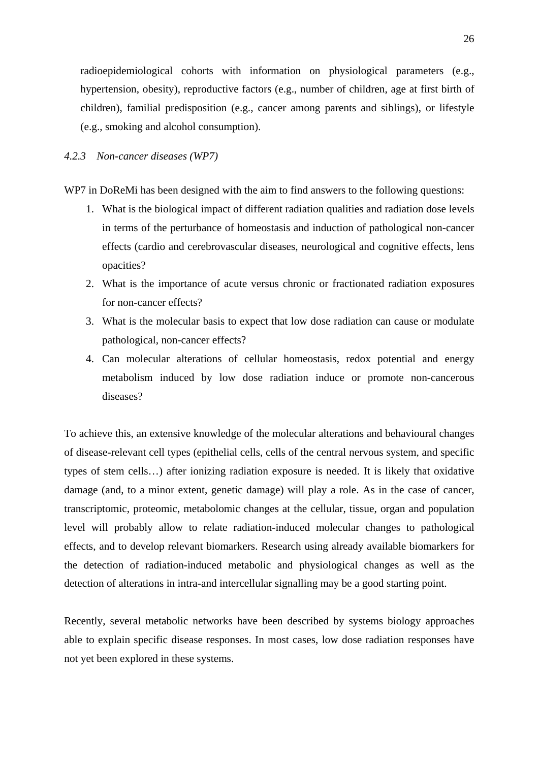<span id="page-25-0"></span>radioepidemiological cohorts with information on physiological parameters (e.g., hypertension, obesity), reproductive factors (e.g., number of children, age at first birth of children), familial predisposition (e.g., cancer among parents and siblings), or lifestyle (e.g., smoking and alcohol consumption).

#### *4.2.3 Non-cancer diseases (WP7)*

WP7 in DoReMi has been designed with the aim to find answers to the following questions:

- 1. What is the biological impact of different radiation qualities and radiation dose levels in terms of the perturbance of homeostasis and induction of pathological non-cancer effects (cardio and cerebrovascular diseases, neurological and cognitive effects, lens opacities?
- 2. What is the importance of acute versus chronic or fractionated radiation exposures for non-cancer effects?
- 3. What is the molecular basis to expect that low dose radiation can cause or modulate pathological, non-cancer effects?
- 4. Can molecular alterations of cellular homeostasis, redox potential and energy metabolism induced by low dose radiation induce or promote non-cancerous diseases?

To achieve this, an extensive knowledge of the molecular alterations and behavioural changes of disease-relevant cell types (epithelial cells, cells of the central nervous system, and specific types of stem cells…) after ionizing radiation exposure is needed. It is likely that oxidative damage (and, to a minor extent, genetic damage) will play a role. As in the case of cancer, transcriptomic, proteomic, metabolomic changes at the cellular, tissue, organ and population level will probably allow to relate radiation-induced molecular changes to pathological effects, and to develop relevant biomarkers. Research using already available biomarkers for the detection of radiation-induced metabolic and physiological changes as well as the detection of alterations in intra-and intercellular signalling may be a good starting point.

Recently, several metabolic networks have been described by systems biology approaches able to explain specific disease responses. In most cases, low dose radiation responses have not yet been explored in these systems.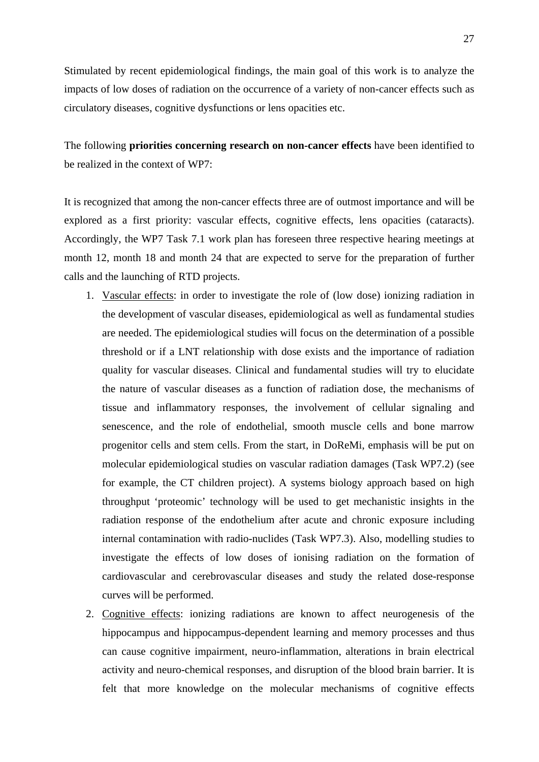Stimulated by recent epidemiological findings, the main goal of this work is to analyze the impacts of low doses of radiation on the occurrence of a variety of non-cancer effects such as circulatory diseases, cognitive dysfunctions or lens opacities etc.

The following **priorities concerning research on non-cancer effects** have been identified to be realized in the context of WP7:

It is recognized that among the non-cancer effects three are of outmost importance and will be explored as a first priority: vascular effects, cognitive effects, lens opacities (cataracts). Accordingly, the WP7 Task 7.1 work plan has foreseen three respective hearing meetings at month 12, month 18 and month 24 that are expected to serve for the preparation of further calls and the launching of RTD projects.

- 1. Vascular effects: in order to investigate the role of (low dose) ionizing radiation in the development of vascular diseases, epidemiological as well as fundamental studies are needed. The epidemiological studies will focus on the determination of a possible threshold or if a LNT relationship with dose exists and the importance of radiation quality for vascular diseases. Clinical and fundamental studies will try to elucidate the nature of vascular diseases as a function of radiation dose, the mechanisms of tissue and inflammatory responses, the involvement of cellular signaling and senescence, and the role of endothelial, smooth muscle cells and bone marrow progenitor cells and stem cells. From the start, in DoReMi, emphasis will be put on molecular epidemiological studies on vascular radiation damages (Task WP7.2) (see for example, the CT children project). A systems biology approach based on high throughput 'proteomic' technology will be used to get mechanistic insights in the radiation response of the endothelium after acute and chronic exposure including internal contamination with radio-nuclides (Task WP7.3). Also, modelling studies to investigate the effects of low doses of ionising radiation on the formation of cardiovascular and cerebrovascular diseases and study the related dose-response curves will be performed.
- 2. Cognitive effects: ionizing radiations are known to affect neurogenesis of the hippocampus and hippocampus-dependent learning and memory processes and thus can cause cognitive impairment, neuro-inflammation, alterations in brain electrical activity and neuro-chemical responses, and disruption of the blood brain barrier. It is felt that more knowledge on the molecular mechanisms of cognitive effects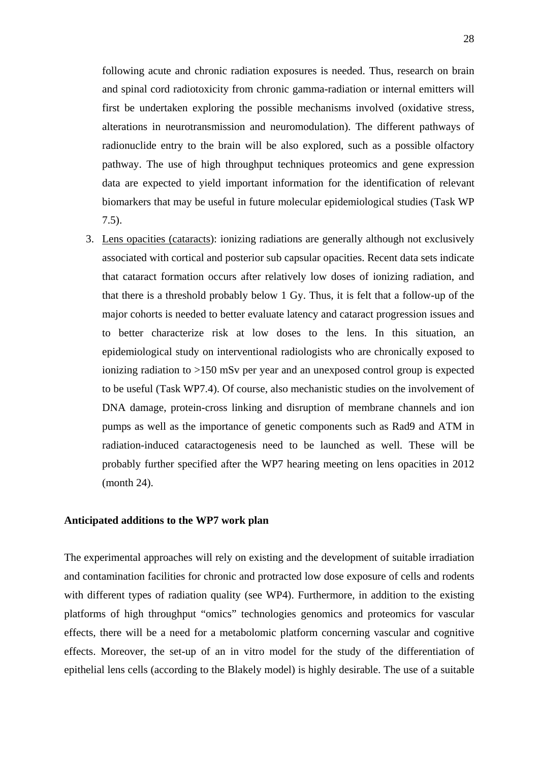following acute and chronic radiation exposures is needed. Thus, research on brain and spinal cord radiotoxicity from chronic gamma-radiation or internal emitters will first be undertaken exploring the possible mechanisms involved (oxidative stress, alterations in neurotransmission and neuromodulation). The different pathways of radionuclide entry to the brain will be also explored, such as a possible olfactory pathway. The use of high throughput techniques proteomics and gene expression data are expected to yield important information for the identification of relevant biomarkers that may be useful in future molecular epidemiological studies (Task WP 7.5).

3. Lens opacities (cataracts): ionizing radiations are generally although not exclusively associated with cortical and posterior sub capsular opacities. Recent data sets indicate that cataract formation occurs after relatively low doses of ionizing radiation, and that there is a threshold probably below 1 Gy. Thus, it is felt that a follow-up of the major cohorts is needed to better evaluate latency and cataract progression issues and to better characterize risk at low doses to the lens. In this situation, an epidemiological study on interventional radiologists who are chronically exposed to ionizing radiation to >150 mSv per year and an unexposed control group is expected to be useful (Task WP7.4). Of course, also mechanistic studies on the involvement of DNA damage, protein-cross linking and disruption of membrane channels and ion pumps as well as the importance of genetic components such as Rad9 and ATM in radiation-induced cataractogenesis need to be launched as well. These will be probably further specified after the WP7 hearing meeting on lens opacities in 2012 (month 24).

#### **Anticipated additions to the WP7 work plan**

The experimental approaches will rely on existing and the development of suitable irradiation and contamination facilities for chronic and protracted low dose exposure of cells and rodents with different types of radiation quality (see WP4). Furthermore, in addition to the existing platforms of high throughput "omics" technologies genomics and proteomics for vascular effects, there will be a need for a metabolomic platform concerning vascular and cognitive effects. Moreover, the set-up of an in vitro model for the study of the differentiation of epithelial lens cells (according to the Blakely model) is highly desirable. The use of a suitable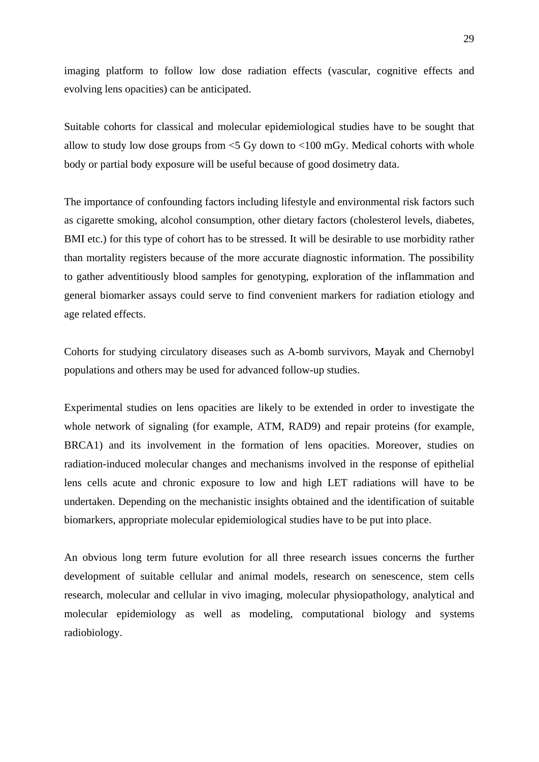imaging platform to follow low dose radiation effects (vascular, cognitive effects and evolving lens opacities) can be anticipated.

Suitable cohorts for classical and molecular epidemiological studies have to be sought that allow to study low dose groups from  $\leq$  5 Gy down to  $\leq$  100 mGy. Medical cohorts with whole body or partial body exposure will be useful because of good dosimetry data.

The importance of confounding factors including lifestyle and environmental risk factors such as cigarette smoking, alcohol consumption, other dietary factors (cholesterol levels, diabetes, BMI etc.) for this type of cohort has to be stressed. It will be desirable to use morbidity rather than mortality registers because of the more accurate diagnostic information. The possibility to gather adventitiously blood samples for genotyping, exploration of the inflammation and general biomarker assays could serve to find convenient markers for radiation etiology and age related effects.

Cohorts for studying circulatory diseases such as A-bomb survivors, Mayak and Chernobyl populations and others may be used for advanced follow-up studies.

Experimental studies on lens opacities are likely to be extended in order to investigate the whole network of signaling (for example, ATM, RAD9) and repair proteins (for example, BRCA1) and its involvement in the formation of lens opacities. Moreover, studies on radiation-induced molecular changes and mechanisms involved in the response of epithelial lens cells acute and chronic exposure to low and high LET radiations will have to be undertaken. Depending on the mechanistic insights obtained and the identification of suitable biomarkers, appropriate molecular epidemiological studies have to be put into place.

An obvious long term future evolution for all three research issues concerns the further development of suitable cellular and animal models, research on senescence, stem cells research, molecular and cellular in vivo imaging, molecular physiopathology, analytical and molecular epidemiology as well as modeling, computational biology and systems radiobiology.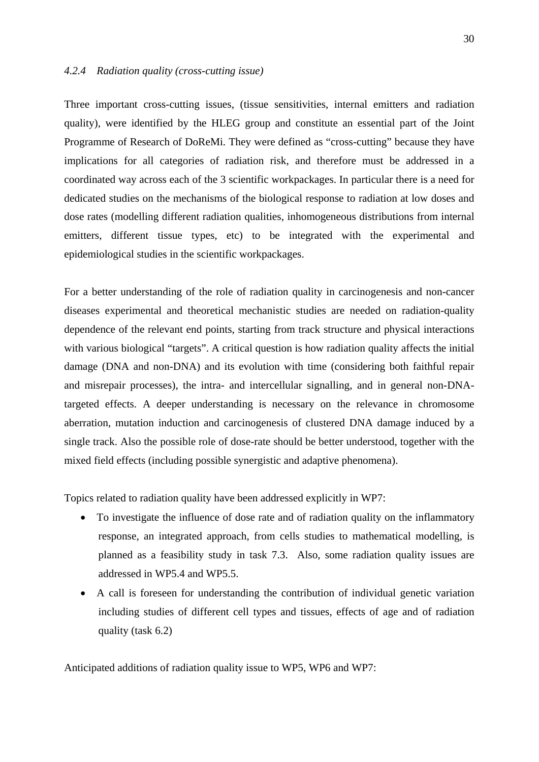<span id="page-29-0"></span>Three important cross-cutting issues, (tissue sensitivities, internal emitters and radiation quality), were identified by the HLEG group and constitute an essential part of the Joint Programme of Research of DoReMi. They were defined as "cross-cutting" because they have implications for all categories of radiation risk, and therefore must be addressed in a coordinated way across each of the 3 scientific workpackages. In particular there is a need for dedicated studies on the mechanisms of the biological response to radiation at low doses and dose rates (modelling different radiation qualities, inhomogeneous distributions from internal emitters, different tissue types, etc) to be integrated with the experimental and epidemiological studies in the scientific workpackages.

For a better understanding of the role of radiation quality in carcinogenesis and non-cancer diseases experimental and theoretical mechanistic studies are needed on radiation-quality dependence of the relevant end points, starting from track structure and physical interactions with various biological "targets". A critical question is how radiation quality affects the initial damage (DNA and non-DNA) and its evolution with time (considering both faithful repair and misrepair processes), the intra- and intercellular signalling, and in general non-DNAtargeted effects. A deeper understanding is necessary on the relevance in chromosome aberration, mutation induction and carcinogenesis of clustered DNA damage induced by a single track. Also the possible role of dose-rate should be better understood, together with the mixed field effects (including possible synergistic and adaptive phenomena).

Topics related to radiation quality have been addressed explicitly in WP7:

- To investigate the influence of dose rate and of radiation quality on the inflammatory response, an integrated approach, from cells studies to mathematical modelling, is planned as a feasibility study in task 7.3. Also, some radiation quality issues are addressed in WP5.4 and WP5.5.
- A call is foreseen for understanding the contribution of individual genetic variation including studies of different cell types and tissues, effects of age and of radiation quality (task 6.2)

Anticipated additions of radiation quality issue to WP5, WP6 and WP7: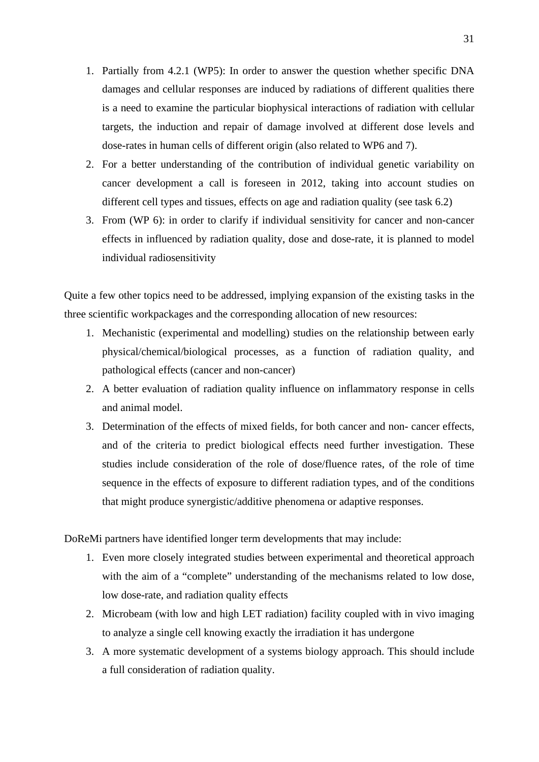- 1. Partially from 4.2.1 (WP5): In order to answer the question whether specific DNA damages and cellular responses are induced by radiations of different qualities there is a need to examine the particular biophysical interactions of radiation with cellular targets, the induction and repair of damage involved at different dose levels and dose-rates in human cells of different origin (also related to WP6 and 7).
- 2. For a better understanding of the contribution of individual genetic variability on cancer development a call is foreseen in 2012, taking into account studies on different cell types and tissues, effects on age and radiation quality (see task 6.2)
- 3. From (WP 6): in order to clarify if individual sensitivity for cancer and non-cancer effects in influenced by radiation quality, dose and dose-rate, it is planned to model individual radiosensitivity

Quite a few other topics need to be addressed, implying expansion of the existing tasks in the three scientific workpackages and the corresponding allocation of new resources:

- 1. Mechanistic (experimental and modelling) studies on the relationship between early physical/chemical/biological processes, as a function of radiation quality, and pathological effects (cancer and non-cancer)
- 2. A better evaluation of radiation quality influence on inflammatory response in cells and animal model.
- 3. Determination of the effects of mixed fields, for both cancer and non- cancer effects, and of the criteria to predict biological effects need further investigation. These studies include consideration of the role of dose/fluence rates, of the role of time sequence in the effects of exposure to different radiation types, and of the conditions that might produce synergistic/additive phenomena or adaptive responses.

DoReMi partners have identified longer term developments that may include:

- 1. Even more closely integrated studies between experimental and theoretical approach with the aim of a "complete" understanding of the mechanisms related to low dose, low dose-rate, and radiation quality effects
- 2. Microbeam (with low and high LET radiation) facility coupled with in vivo imaging to analyze a single cell knowing exactly the irradiation it has undergone
- 3. A more systematic development of a systems biology approach. This should include a full consideration of radiation quality.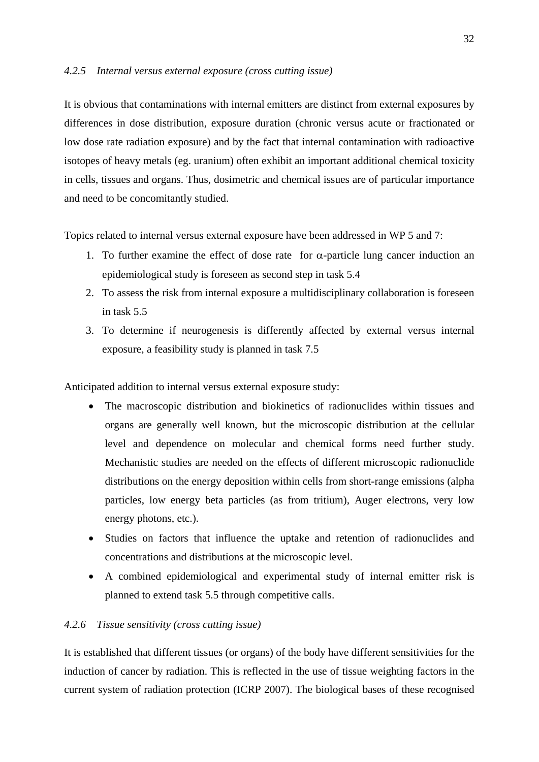#### <span id="page-31-0"></span>*4.2.5 Internal versus external exposure (cross cutting issue)*

It is obvious that contaminations with internal emitters are distinct from external exposures by differences in dose distribution, exposure duration (chronic versus acute or fractionated or low dose rate radiation exposure) and by the fact that internal contamination with radioactive isotopes of heavy metals (eg. uranium) often exhibit an important additional chemical toxicity in cells, tissues and organs. Thus, dosimetric and chemical issues are of particular importance and need to be concomitantly studied.

Topics related to internal versus external exposure have been addressed in WP 5 and 7:

- 1. To further examine the effect of dose rate for  $\alpha$ -particle lung cancer induction an epidemiological study is foreseen as second step in task 5.4
- 2. To assess the risk from internal exposure a multidisciplinary collaboration is foreseen in task 5.5
- 3. To determine if neurogenesis is differently affected by external versus internal exposure, a feasibility study is planned in task 7.5

Anticipated addition to internal versus external exposure study:

- The macroscopic distribution and biokinetics of radionuclides within tissues and organs are generally well known, but the microscopic distribution at the cellular level and dependence on molecular and chemical forms need further study. Mechanistic studies are needed on the effects of different microscopic radionuclide distributions on the energy deposition within cells from short-range emissions (alpha particles, low energy beta particles (as from tritium), Auger electrons, very low energy photons, etc.).
- Studies on factors that influence the uptake and retention of radionuclides and concentrations and distributions at the microscopic level.
- A combined epidemiological and experimental study of internal emitter risk is planned to extend task 5.5 through competitive calls.

#### *4.2.6 Tissue sensitivity (cross cutting issue)*

It is established that different tissues (or organs) of the body have different sensitivities for the induction of cancer by radiation. This is reflected in the use of tissue weighting factors in the current system of radiation protection (ICRP 2007). The biological bases of these recognised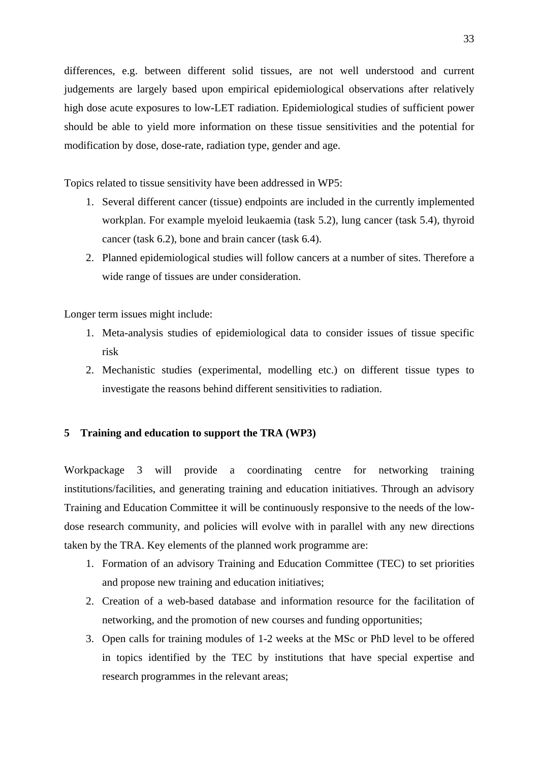<span id="page-32-0"></span>differences, e.g. between different solid tissues, are not well understood and current judgements are largely based upon empirical epidemiological observations after relatively high dose acute exposures to low-LET radiation. Epidemiological studies of sufficient power should be able to yield more information on these tissue sensitivities and the potential for modification by dose, dose-rate, radiation type, gender and age.

Topics related to tissue sensitivity have been addressed in WP5:

- 1. Several different cancer (tissue) endpoints are included in the currently implemented workplan. For example myeloid leukaemia (task 5.2), lung cancer (task 5.4), thyroid cancer (task 6.2), bone and brain cancer (task 6.4).
- 2. Planned epidemiological studies will follow cancers at a number of sites. Therefore a wide range of tissues are under consideration.

Longer term issues might include:

- 1. Meta-analysis studies of epidemiological data to consider issues of tissue specific risk
- 2. Mechanistic studies (experimental, modelling etc.) on different tissue types to investigate the reasons behind different sensitivities to radiation.

# **5 Training and education to support the TRA (WP3)**

Workpackage 3 will provide a coordinating centre for networking training institutions/facilities, and generating training and education initiatives. Through an advisory Training and Education Committee it will be continuously responsive to the needs of the lowdose research community, and policies will evolve with in parallel with any new directions taken by the TRA. Key elements of the planned work programme are:

- 1. Formation of an advisory Training and Education Committee (TEC) to set priorities and propose new training and education initiatives;
- 2. Creation of a web-based database and information resource for the facilitation of networking, and the promotion of new courses and funding opportunities;
- 3. Open calls for training modules of 1-2 weeks at the MSc or PhD level to be offered in topics identified by the TEC by institutions that have special expertise and research programmes in the relevant areas;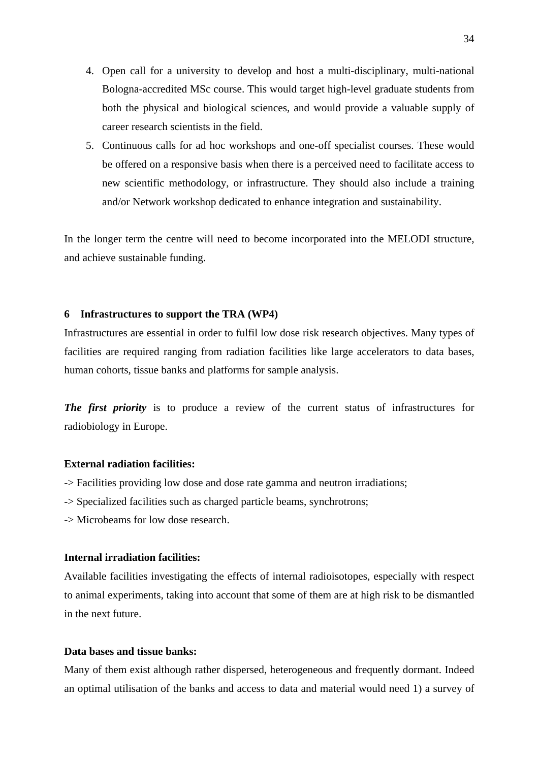- <span id="page-33-0"></span>4. Open call for a university to develop and host a multi-disciplinary, multi-national Bologna-accredited MSc course. This would target high-level graduate students from both the physical and biological sciences, and would provide a valuable supply of career research scientists in the field.
- 5. Continuous calls for ad hoc workshops and one-off specialist courses. These would be offered on a responsive basis when there is a perceived need to facilitate access to new scientific methodology, or infrastructure. They should also include a training and/or Network workshop dedicated to enhance integration and sustainability.

In the longer term the centre will need to become incorporated into the MELODI structure, and achieve sustainable funding.

## **6 Infrastructures to support the TRA (WP4)**

Infrastructures are essential in order to fulfil low dose risk research objectives. Many types of facilities are required ranging from radiation facilities like large accelerators to data bases, human cohorts, tissue banks and platforms for sample analysis.

*The first priority* is to produce a review of the current status of infrastructures for radiobiology in Europe.

#### **External radiation facilities:**

- -> Facilities providing low dose and dose rate gamma and neutron irradiations;
- -> Specialized facilities such as charged particle beams, synchrotrons;
- -> Microbeams for low dose research.

# **Internal irradiation facilities:**

Available facilities investigating the effects of internal radioisotopes, especially with respect to animal experiments, taking into account that some of them are at high risk to be dismantled in the next future.

# **Data bases and tissue banks:**

Many of them exist although rather dispersed, heterogeneous and frequently dormant. Indeed an optimal utilisation of the banks and access to data and material would need 1) a survey of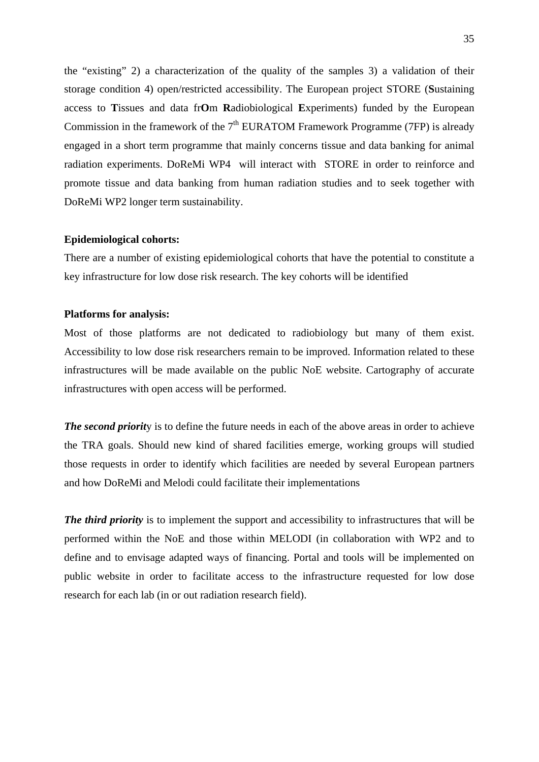the "existing" 2) a characterization of the quality of the samples 3) a validation of their storage condition 4) open/restricted accessibility. The European project STORE (**S**ustaining access to **T**issues and data fr**O**m **R**adiobiological **E**xperiments) funded by the European Commission in the framework of the  $7<sup>th</sup>$  EURATOM Framework Programme (7FP) is already engaged in a short term programme that mainly concerns tissue and data banking for animal radiation experiments. DoReMi WP4 will interact with STORE in order to reinforce and promote tissue and data banking from human radiation studies and to seek together with DoReMi WP2 longer term sustainability.

#### **Epidemiological cohorts:**

There are a number of existing epidemiological cohorts that have the potential to constitute a key infrastructure for low dose risk research. The key cohorts will be identified

#### **Platforms for analysis:**

Most of those platforms are not dedicated to radiobiology but many of them exist. Accessibility to low dose risk researchers remain to be improved. Information related to these infrastructures will be made available on the public NoE website. Cartography of accurate infrastructures with open access will be performed.

*The second priorit*y is to define the future needs in each of the above areas in order to achieve the TRA goals. Should new kind of shared facilities emerge, working groups will studied those requests in order to identify which facilities are needed by several European partners and how DoReMi and Melodi could facilitate their implementations

*The third priority* is to implement the support and accessibility to infrastructures that will be performed within the NoE and those within MELODI (in collaboration with WP2 and to define and to envisage adapted ways of financing. Portal and tools will be implemented on public website in order to facilitate access to the infrastructure requested for low dose research for each lab (in or out radiation research field).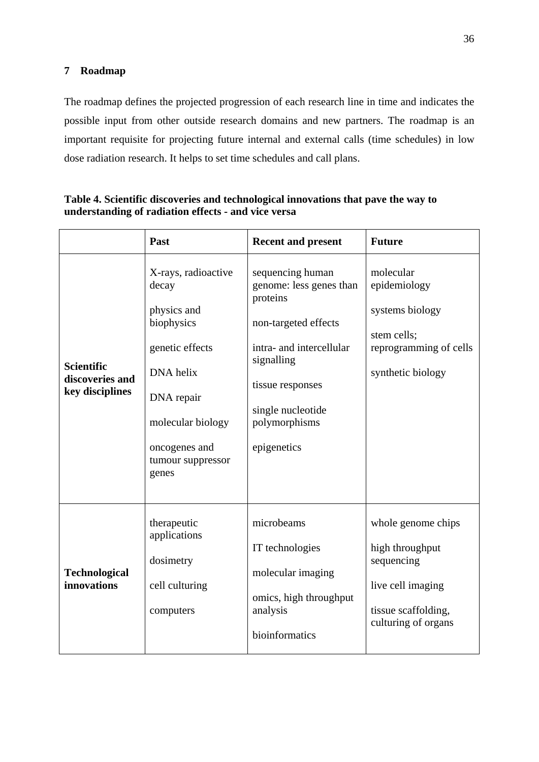# <span id="page-35-0"></span>**7 Roadmap**

The roadmap defines the projected progression of each research line in time and indicates the possible input from other outside research domains and new partners. The roadmap is an important requisite for projecting future internal and external calls (time schedules) in low dose radiation research. It helps to set time schedules and call plans.

|                                                         | Past                                                                                                                                                                        | <b>Recent and present</b>                                                                                                                                                                          | <b>Future</b>                                                                                                          |
|---------------------------------------------------------|-----------------------------------------------------------------------------------------------------------------------------------------------------------------------------|----------------------------------------------------------------------------------------------------------------------------------------------------------------------------------------------------|------------------------------------------------------------------------------------------------------------------------|
| <b>Scientific</b><br>discoveries and<br>key disciplines | X-rays, radioactive<br>decay<br>physics and<br>biophysics<br>genetic effects<br>DNA helix<br>DNA repair<br>molecular biology<br>oncogenes and<br>tumour suppressor<br>genes | sequencing human<br>genome: less genes than<br>proteins<br>non-targeted effects<br>intra- and intercellular<br>signalling<br>tissue responses<br>single nucleotide<br>polymorphisms<br>epigenetics | molecular<br>epidemiology<br>systems biology<br>stem cells;<br>reprogramming of cells<br>synthetic biology             |
| <b>Technological</b><br>innovations                     | therapeutic<br>applications<br>dosimetry<br>cell culturing<br>computers                                                                                                     | microbeams<br>IT technologies<br>molecular imaging<br>omics, high throughput<br>analysis<br>bioinformatics                                                                                         | whole genome chips<br>high throughput<br>sequencing<br>live cell imaging<br>tissue scaffolding,<br>culturing of organs |

# **Table 4. Scientific discoveries and technological innovations that pave the way to understanding of radiation effects - and vice versa**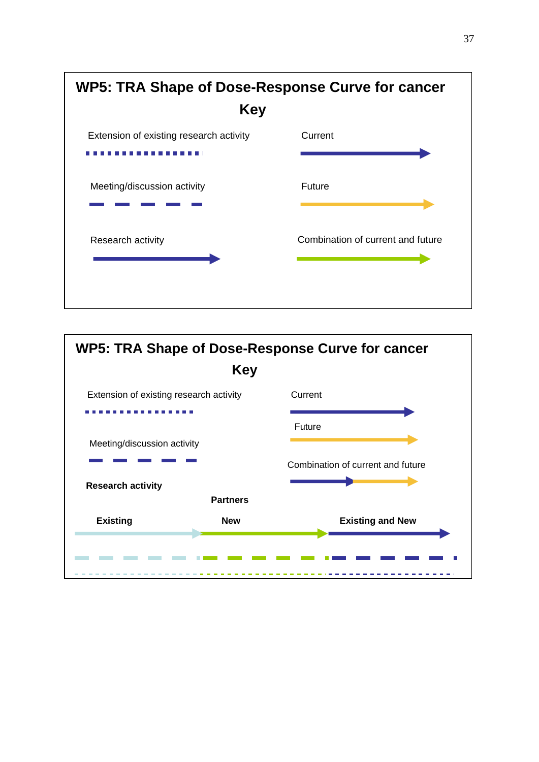

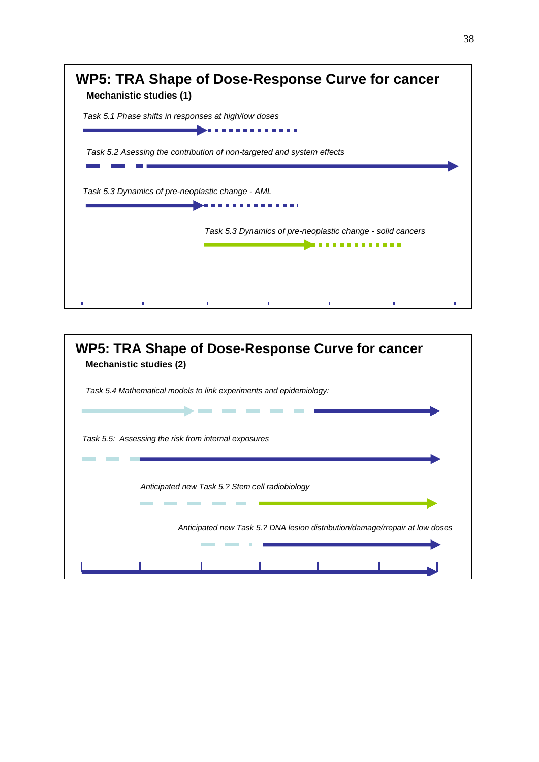| <b>Mechanistic studies (1)</b>                       | WP5: TRA Shape of Dose-Response Curve for cancer                      |
|------------------------------------------------------|-----------------------------------------------------------------------|
| Task 5.1 Phase shifts in responses at high/low doses |                                                                       |
| Task 5.3 Dynamics of pre-neoplastic change - AML     | Task 5.2 Asessing the contribution of non-targeted and system effects |
|                                                      | Task 5.3 Dynamics of pre-neoplastic change - solid cancers            |
|                                                      |                                                                       |

| WP5: TRA Shape of Dose-Response Curve for cancer<br><b>Mechanistic studies (2)</b> |  |  |  |  |  |  |
|------------------------------------------------------------------------------------|--|--|--|--|--|--|
| Task 5.4 Mathematical models to link experiments and epidemiology:                 |  |  |  |  |  |  |
|                                                                                    |  |  |  |  |  |  |
| Task 5.5: Assessing the risk from internal exposures                               |  |  |  |  |  |  |
|                                                                                    |  |  |  |  |  |  |
| Anticipated new Task 5.? Stem cell radiobiology                                    |  |  |  |  |  |  |
|                                                                                    |  |  |  |  |  |  |
| Anticipated new Task 5.? DNA lesion distribution/damage/rrepair at low doses       |  |  |  |  |  |  |
|                                                                                    |  |  |  |  |  |  |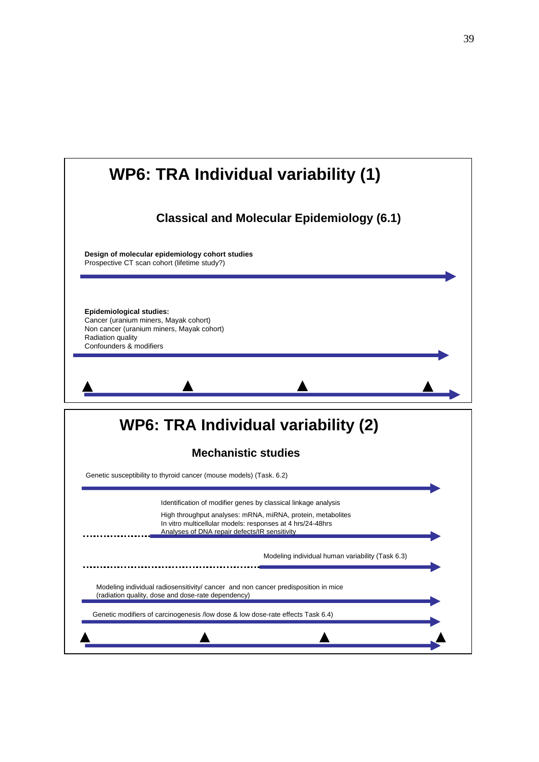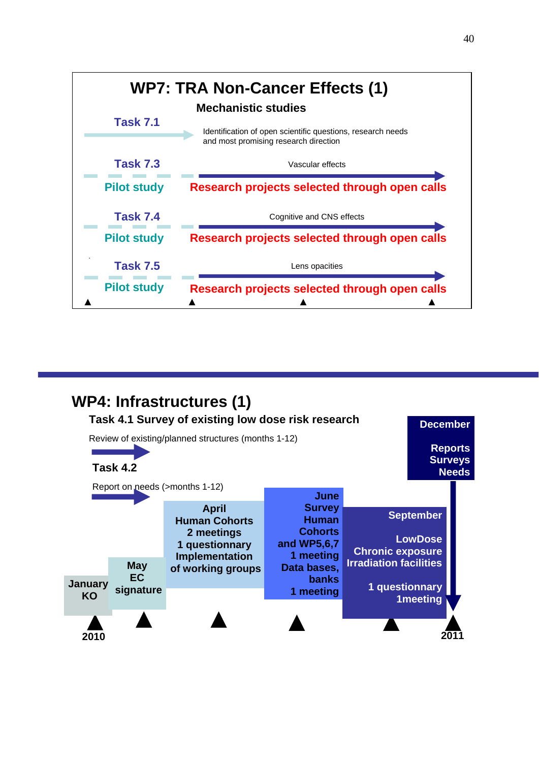

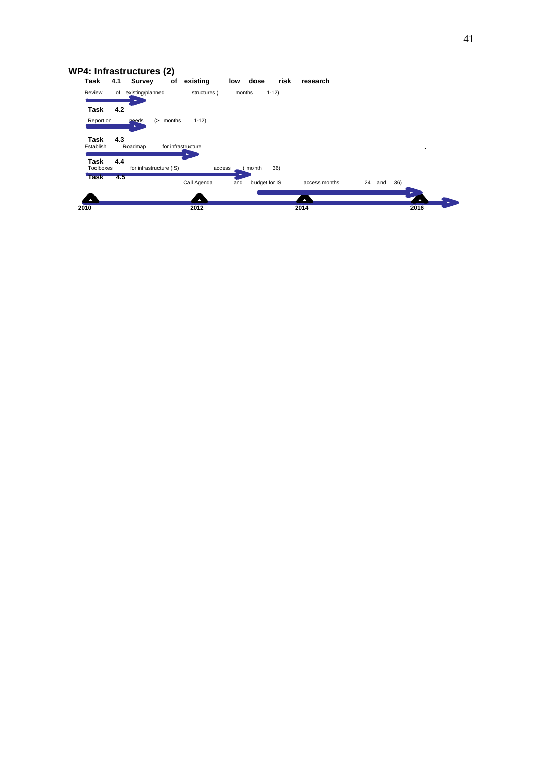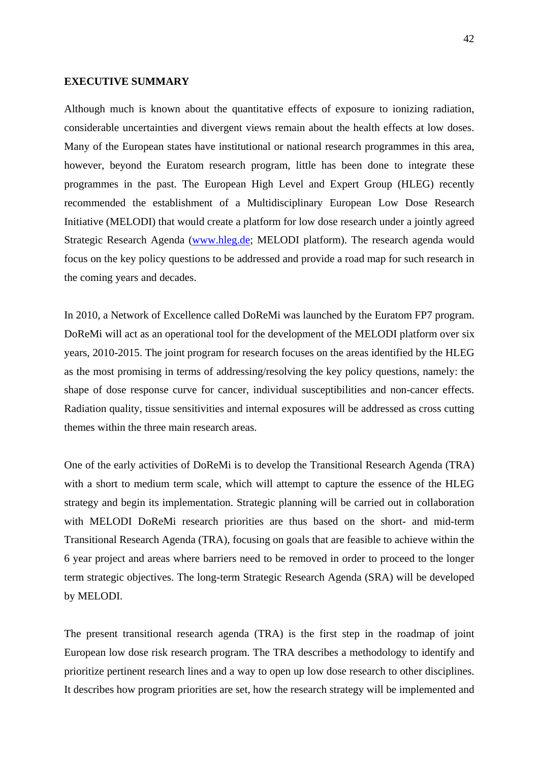#### <span id="page-41-0"></span>**EXECUTIVE SUMMARY**

Although much is known about the quantitative effects of exposure to ionizing radiation, considerable uncertainties and divergent views remain about the health effects at low doses. Many of the European states have institutional or national research programmes in this area, however, beyond the Euratom research program, little has been done to integrate these programmes in the past. The European High Level and Expert Group (HLEG) recently recommended the establishment of a Multidisciplinary European Low Dose Research Initiative (MELODI) that would create a platform for low dose research under a jointly agreed Strategic Research Agenda [\(www.hleg.de](http://www.hleg.de/); MELODI platform). The research agenda would focus on the key policy questions to be addressed and provide a road map for such research in the coming years and decades.

In 2010, a Network of Excellence called DoReMi was launched by the Euratom FP7 program. DoReMi will act as an operational tool for the development of the MELODI platform over six years, 2010-2015. The joint program for research focuses on the areas identified by the HLEG as the most promising in terms of addressing/resolving the key policy questions, namely: the shape of dose response curve for cancer, individual susceptibilities and non-cancer effects. Radiation quality, tissue sensitivities and internal exposures will be addressed as cross cutting themes within the three main research areas.

One of the early activities of DoReMi is to develop the Transitional Research Agenda (TRA) with a short to medium term scale, which will attempt to capture the essence of the HLEG strategy and begin its implementation. Strategic planning will be carried out in collaboration with MELODI DoReMi research priorities are thus based on the short- and mid-term Transitional Research Agenda (TRA), focusing on goals that are feasible to achieve within the 6 year project and areas where barriers need to be removed in order to proceed to the longer term strategic objectives. The long-term Strategic Research Agenda (SRA) will be developed by MELODI.

The present transitional research agenda (TRA) is the first step in the roadmap of joint European low dose risk research program. The TRA describes a methodology to identify and prioritize pertinent research lines and a way to open up low dose research to other disciplines. It describes how program priorities are set, how the research strategy will be implemented and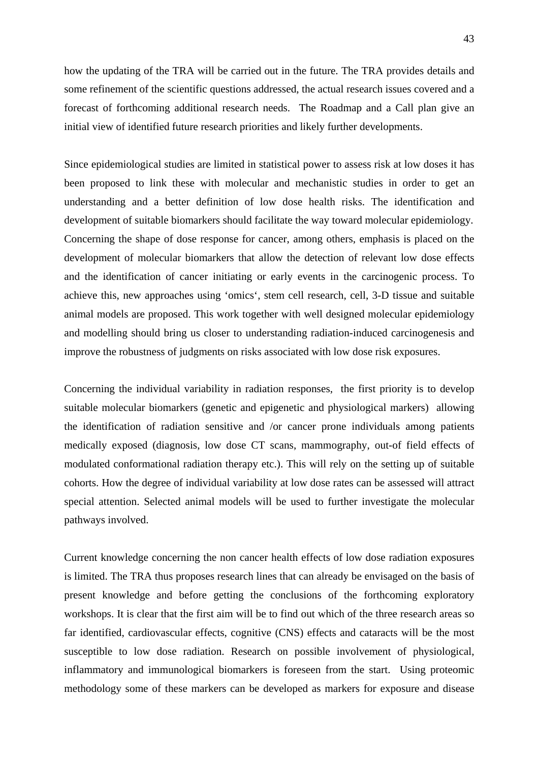how the updating of the TRA will be carried out in the future. The TRA provides details and some refinement of the scientific questions addressed, the actual research issues covered and a forecast of forthcoming additional research needs. The Roadmap and a Call plan give an initial view of identified future research priorities and likely further developments.

Since epidemiological studies are limited in statistical power to assess risk at low doses it has been proposed to link these with molecular and mechanistic studies in order to get an understanding and a better definition of low dose health risks. The identification and development of suitable biomarkers should facilitate the way toward molecular epidemiology. Concerning the shape of dose response for cancer, among others, emphasis is placed on the development of molecular biomarkers that allow the detection of relevant low dose effects and the identification of cancer initiating or early events in the carcinogenic process. To achieve this, new approaches using 'omics', stem cell research, cell, 3-D tissue and suitable animal models are proposed. This work together with well designed molecular epidemiology and modelling should bring us closer to understanding radiation-induced carcinogenesis and improve the robustness of judgments on risks associated with low dose risk exposures.

Concerning the individual variability in radiation responses, the first priority is to develop suitable molecular biomarkers (genetic and epigenetic and physiological markers) allowing the identification of radiation sensitive and /or cancer prone individuals among patients medically exposed (diagnosis, low dose CT scans, mammography, out-of field effects of modulated conformational radiation therapy etc.). This will rely on the setting up of suitable cohorts. How the degree of individual variability at low dose rates can be assessed will attract special attention. Selected animal models will be used to further investigate the molecular pathways involved.

Current knowledge concerning the non cancer health effects of low dose radiation exposures is limited. The TRA thus proposes research lines that can already be envisaged on the basis of present knowledge and before getting the conclusions of the forthcoming exploratory workshops. It is clear that the first aim will be to find out which of the three research areas so far identified, cardiovascular effects, cognitive (CNS) effects and cataracts will be the most susceptible to low dose radiation. Research on possible involvement of physiological, inflammatory and immunological biomarkers is foreseen from the start. Using proteomic methodology some of these markers can be developed as markers for exposure and disease